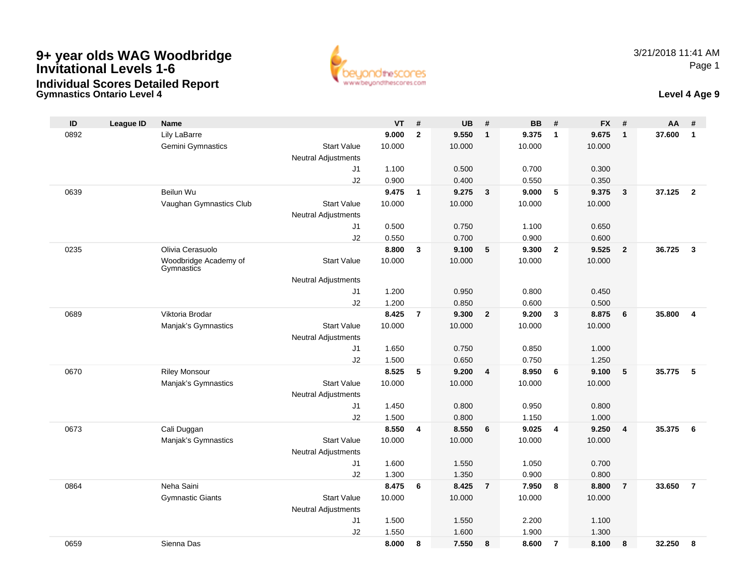

### **Gymnastics Ontario Level 4 Level 4 Age 9 Individual Scores Detailed Report**

| ID   | <b>League ID</b> | <b>Name</b>                         |                            | <b>VT</b> | #              | <b>UB</b> | #                       | <b>BB</b> | #              | <b>FX</b> | #              | AA     | #                       |
|------|------------------|-------------------------------------|----------------------------|-----------|----------------|-----------|-------------------------|-----------|----------------|-----------|----------------|--------|-------------------------|
| 0892 |                  | Lily LaBarre                        |                            | 9.000     | $\mathbf{2}$   | 9.550     | $\mathbf{1}$            | 9.375     | $\overline{1}$ | 9.675     | $\mathbf{1}$   | 37.600 | $\mathbf{1}$            |
|      |                  | Gemini Gymnastics                   | <b>Start Value</b>         | 10.000    |                | 10.000    |                         | 10.000    |                | 10.000    |                |        |                         |
|      |                  |                                     | <b>Neutral Adjustments</b> |           |                |           |                         |           |                |           |                |        |                         |
|      |                  |                                     | J1                         | 1.100     |                | 0.500     |                         | 0.700     |                | 0.300     |                |        |                         |
|      |                  |                                     | J2                         | 0.900     |                | 0.400     |                         | 0.550     |                | 0.350     |                |        |                         |
| 0639 |                  | Beilun Wu                           |                            | 9.475     | $\mathbf{1}$   | 9.275     | $\overline{3}$          | 9.000     | 5              | 9.375     | $\mathbf{3}$   | 37.125 | $\overline{\mathbf{2}}$ |
|      |                  | Vaughan Gymnastics Club             | <b>Start Value</b>         | 10.000    |                | 10.000    |                         | 10.000    |                | 10.000    |                |        |                         |
|      |                  |                                     | <b>Neutral Adjustments</b> |           |                |           |                         |           |                |           |                |        |                         |
|      |                  |                                     | J1                         | 0.500     |                | 0.750     |                         | 1.100     |                | 0.650     |                |        |                         |
|      |                  |                                     | J2                         | 0.550     |                | 0.700     |                         | 0.900     |                | 0.600     |                |        |                         |
| 0235 |                  | Olivia Cerasuolo                    |                            | 8.800     | 3              | 9.100     | 5                       | 9.300     | $\overline{2}$ | 9.525     | $\overline{2}$ | 36.725 | $\mathbf{3}$            |
|      |                  | Woodbridge Academy of<br>Gymnastics | <b>Start Value</b>         | 10.000    |                | 10.000    |                         | 10.000    |                | 10.000    |                |        |                         |
|      |                  |                                     | <b>Neutral Adjustments</b> |           |                |           |                         |           |                |           |                |        |                         |
|      |                  |                                     | J1                         | 1.200     |                | 0.950     |                         | 0.800     |                | 0.450     |                |        |                         |
|      |                  |                                     | J2                         | 1.200     |                | 0.850     |                         | 0.600     |                | 0.500     |                |        |                         |
| 0689 |                  | Viktoria Brodar                     |                            | 8.425     | $\overline{7}$ | 9.300     | $\overline{2}$          | 9.200     | $\mathbf{3}$   | 8.875     | 6              | 35.800 | $\overline{4}$          |
|      |                  | Manjak's Gymnastics                 | <b>Start Value</b>         | 10.000    |                | 10.000    |                         | 10.000    |                | 10.000    |                |        |                         |
|      |                  |                                     | <b>Neutral Adjustments</b> |           |                |           |                         |           |                |           |                |        |                         |
|      |                  |                                     | J1                         | 1.650     |                | 0.750     |                         | 0.850     |                | 1.000     |                |        |                         |
|      |                  |                                     | J2                         | 1.500     |                | 0.650     |                         | 0.750     |                | 1.250     |                |        |                         |
| 0670 |                  | <b>Riley Monsour</b>                |                            | 8.525     | 5              | 9.200     | $\overline{\mathbf{4}}$ | 8.950     | 6              | 9.100     | 5              | 35.775 | 5                       |
|      |                  | Manjak's Gymnastics                 | <b>Start Value</b>         | 10.000    |                | 10.000    |                         | 10.000    |                | 10.000    |                |        |                         |
|      |                  |                                     | Neutral Adjustments        |           |                |           |                         |           |                |           |                |        |                         |
|      |                  |                                     | J1                         | 1.450     |                | 0.800     |                         | 0.950     |                | 0.800     |                |        |                         |
|      |                  |                                     | J2                         | 1.500     |                | 0.800     |                         | 1.150     |                | 1.000     |                |        |                         |
| 0673 |                  | Cali Duggan                         |                            | 8.550     | 4              | 8.550     | 6                       | 9.025     | $\overline{4}$ | 9.250     | $\overline{4}$ | 35.375 | 6                       |
|      |                  | Manjak's Gymnastics                 | <b>Start Value</b>         | 10.000    |                | 10.000    |                         | 10.000    |                | 10.000    |                |        |                         |
|      |                  |                                     | <b>Neutral Adjustments</b> |           |                |           |                         |           |                |           |                |        |                         |
|      |                  |                                     | J1                         | 1.600     |                | 1.550     |                         | 1.050     |                | 0.700     |                |        |                         |
|      |                  |                                     | J2                         | 1.300     |                | 1.350     |                         | 0.900     |                | 0.800     |                |        |                         |
| 0864 |                  | Neha Saini                          |                            | 8.475     | 6              | 8.425     | $\overline{7}$          | 7.950     | 8              | 8.800     | $\overline{7}$ | 33.650 | $\overline{7}$          |
|      |                  | <b>Gymnastic Giants</b>             | <b>Start Value</b>         | 10.000    |                | 10.000    |                         | 10.000    |                | 10.000    |                |        |                         |
|      |                  |                                     | Neutral Adjustments        |           |                |           |                         |           |                |           |                |        |                         |
|      |                  |                                     | J <sub>1</sub>             | 1.500     |                | 1.550     |                         | 2.200     |                | 1.100     |                |        |                         |
|      |                  |                                     | J2                         | 1.550     |                | 1.600     |                         | 1.900     |                | 1.300     |                |        |                         |
| 0659 |                  | Sienna Das                          |                            | 8.000     | 8              | 7.550     | 8                       | 8.600     | $\overline{7}$ | 8.100     | 8              | 32.250 | 8                       |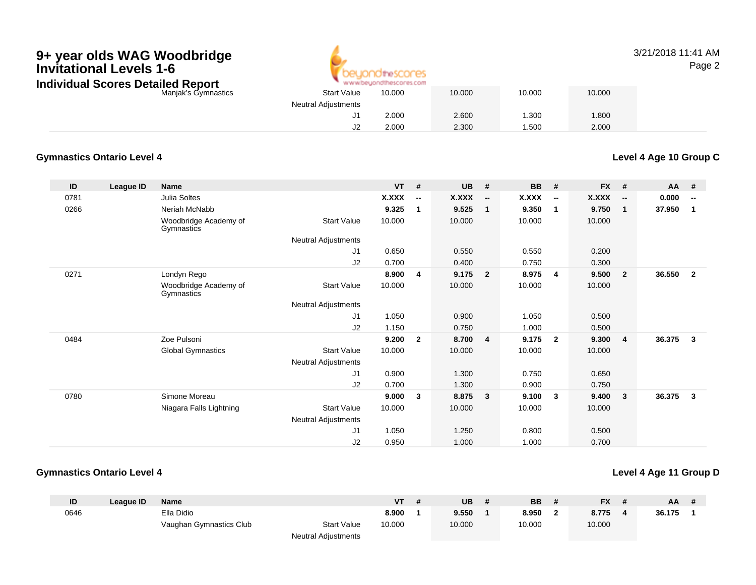

### 3/21/2018 11:41 AMPage 2

| <b>Detailed Report</b> |                            | www.beyondthescores.com |        |        |        |
|------------------------|----------------------------|-------------------------|--------|--------|--------|
| Manjak's Gymnastics    | <b>Start Value</b>         | 10.000                  | 10.000 | 10.000 | 10.000 |
|                        | <b>Neutral Adjustments</b> |                         |        |        |        |
|                        | J1                         | 2.000                   | 2.600  | 1.300  | .800   |
|                        | JZ                         | 2.000                   | 2.300  | .500   | 2.000  |
|                        |                            |                         |        |        |        |

### **Gymnastics Ontario Level 4**

**Level 4 Age 10 Group C**

| ID   | League ID | <b>Name</b>                         |                            | <b>VT</b>    | #                        | <b>UB</b> | #                        | <b>BB</b> | #                        | FX #         |                          | AA     | #                        |
|------|-----------|-------------------------------------|----------------------------|--------------|--------------------------|-----------|--------------------------|-----------|--------------------------|--------------|--------------------------|--------|--------------------------|
| 0781 |           | Julia Soltes                        |                            | <b>X.XXX</b> | $\overline{\phantom{a}}$ | X.XXX     | $\overline{\phantom{a}}$ | X.XXX     | $\overline{\phantom{a}}$ | <b>X.XXX</b> | $\overline{\phantom{a}}$ | 0.000  | $\overline{\phantom{a}}$ |
| 0266 |           | Neriah McNabb                       |                            | 9.325        | 1                        | 9.525     | 1                        | 9.350     | 1                        | 9.750        | $\overline{1}$           | 37.950 | $\overline{\mathbf{1}}$  |
|      |           | Woodbridge Academy of<br>Gymnastics | <b>Start Value</b>         | 10.000       |                          | 10.000    |                          | 10.000    |                          | 10.000       |                          |        |                          |
|      |           |                                     | Neutral Adjustments        |              |                          |           |                          |           |                          |              |                          |        |                          |
|      |           |                                     | J1                         | 0.650        |                          | 0.550     |                          | 0.550     |                          | 0.200        |                          |        |                          |
|      |           |                                     | J2                         | 0.700        |                          | 0.400     |                          | 0.750     |                          | 0.300        |                          |        |                          |
| 0271 |           | Londyn Rego                         |                            | 8.900        | 4                        | 9.175     | $\mathbf{2}$             | 8.975     | 4                        | 9.500        | $\overline{\mathbf{2}}$  | 36.550 | $\overline{\mathbf{2}}$  |
|      |           | Woodbridge Academy of<br>Gymnastics | <b>Start Value</b>         | 10.000       |                          | 10.000    |                          | 10.000    |                          | 10.000       |                          |        |                          |
|      |           |                                     | <b>Neutral Adjustments</b> |              |                          |           |                          |           |                          |              |                          |        |                          |
|      |           |                                     | J1                         | 1.050        |                          | 0.900     |                          | 1.050     |                          | 0.500        |                          |        |                          |
|      |           |                                     | J2                         | 1.150        |                          | 0.750     |                          | 1.000     |                          | 0.500        |                          |        |                          |
| 0484 |           | Zoe Pulsoni                         |                            | 9.200        | $\overline{2}$           | 8.700     | $\overline{4}$           | 9.175     | $\overline{2}$           | 9.300        | $\overline{4}$           | 36.375 | 3                        |
|      |           | <b>Global Gymnastics</b>            | <b>Start Value</b>         | 10.000       |                          | 10.000    |                          | 10.000    |                          | 10.000       |                          |        |                          |
|      |           |                                     | Neutral Adjustments        |              |                          |           |                          |           |                          |              |                          |        |                          |
|      |           |                                     | J1                         | 0.900        |                          | 1.300     |                          | 0.750     |                          | 0.650        |                          |        |                          |
|      |           |                                     | J2                         | 0.700        |                          | 1.300     |                          | 0.900     |                          | 0.750        |                          |        |                          |
| 0780 |           | Simone Moreau                       |                            | 9.000        | 3                        | 8.875     | 3                        | 9.100     | 3                        | 9.400        | $\mathbf{3}$             | 36.375 | $\mathbf{3}$             |
|      |           | Niagara Falls Lightning             | <b>Start Value</b>         | 10.000       |                          | 10.000    |                          | 10.000    |                          | 10.000       |                          |        |                          |
|      |           |                                     | <b>Neutral Adjustments</b> |              |                          |           |                          |           |                          |              |                          |        |                          |
|      |           |                                     | J1                         | 1.050        |                          | 1.250     |                          | 0.800     |                          | 0.500        |                          |        |                          |
|      |           |                                     | J2                         | 0.950        |                          | 1.000     |                          | 1.000     |                          | 0.700        |                          |        |                          |

### **Gymnastics Ontario Level 4**

### **Level 4 Age 11 Group D**

| ID   | League ID | <b>Name</b>             |                            | VT     | UB     | <b>BB</b> | <b>FX</b> | AA     | $\boldsymbol{\#}$ |
|------|-----------|-------------------------|----------------------------|--------|--------|-----------|-----------|--------|-------------------|
| 0646 |           | Ella Didio              |                            | 8.900  | 9.550  | 8.950     | 8.775     | 36.175 |                   |
|      |           | Vaughan Gymnastics Club | <b>Start Value</b>         | 10.000 | 10.000 | 10.000    | 10.000    |        |                   |
|      |           |                         | <b>Neutral Adjustments</b> |        |        |           |           |        |                   |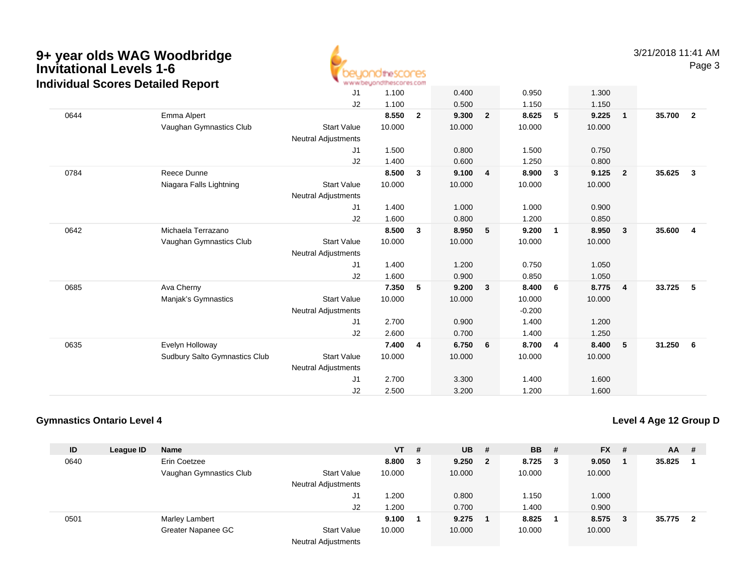

3/21/2018 11:41 AMPage 3

|      | arriadar Ocorcs Dolanca Report |                            |        |                |        |                |          |              |        |                         |        |                         |
|------|--------------------------------|----------------------------|--------|----------------|--------|----------------|----------|--------------|--------|-------------------------|--------|-------------------------|
|      |                                | J1                         | 1.100  |                | 0.400  |                | 0.950    |              | 1.300  |                         |        |                         |
|      |                                | J2                         | 1.100  |                | 0.500  |                | 1.150    |              | 1.150  |                         |        |                         |
| 0644 | Emma Alpert                    |                            | 8.550  | $\overline{2}$ | 9.300  | $\overline{2}$ | 8.625    | 5            | 9.225  | $\overline{\mathbf{1}}$ | 35.700 | $\overline{\mathbf{2}}$ |
|      | Vaughan Gymnastics Club        | <b>Start Value</b>         | 10.000 |                | 10.000 |                | 10.000   |              | 10.000 |                         |        |                         |
|      |                                | Neutral Adjustments        |        |                |        |                |          |              |        |                         |        |                         |
|      |                                | J1                         | 1.500  |                | 0.800  |                | 1.500    |              | 0.750  |                         |        |                         |
|      |                                | J2                         | 1.400  |                | 0.600  |                | 1.250    |              | 0.800  |                         |        |                         |
| 0784 | Reece Dunne                    |                            | 8.500  | 3              | 9.100  | 4              | 8.900    | 3            | 9.125  | $\overline{\mathbf{2}}$ | 35.625 | $\mathbf{3}$            |
|      | Niagara Falls Lightning        | <b>Start Value</b>         | 10.000 |                | 10.000 |                | 10.000   |              | 10.000 |                         |        |                         |
|      |                                | Neutral Adjustments        |        |                |        |                |          |              |        |                         |        |                         |
|      |                                | J1                         | 1.400  |                | 1.000  |                | 1.000    |              | 0.900  |                         |        |                         |
|      |                                | J2                         | 1.600  |                | 0.800  |                | 1.200    |              | 0.850  |                         |        |                         |
| 0642 | Michaela Terrazano             |                            | 8.500  | $\mathbf{3}$   | 8.950  | 5              | 9.200    | $\mathbf{1}$ | 8.950  | $\overline{\mathbf{3}}$ | 35.600 | -4                      |
|      | Vaughan Gymnastics Club        | <b>Start Value</b>         | 10.000 |                | 10.000 |                | 10.000   |              | 10.000 |                         |        |                         |
|      |                                | <b>Neutral Adjustments</b> |        |                |        |                |          |              |        |                         |        |                         |
|      |                                | J1                         | 1.400  |                | 1.200  |                | 0.750    |              | 1.050  |                         |        |                         |
|      |                                | J2                         | 1.600  |                | 0.900  |                | 0.850    |              | 1.050  |                         |        |                         |
| 0685 | Ava Cherny                     |                            | 7.350  | 5              | 9.200  | 3              | 8.400    | 6            | 8.775  | $\overline{\mathbf{4}}$ | 33.725 | 5                       |
|      | Manjak's Gymnastics            | <b>Start Value</b>         | 10.000 |                | 10.000 |                | 10.000   |              | 10.000 |                         |        |                         |
|      |                                | <b>Neutral Adjustments</b> |        |                |        |                | $-0.200$ |              |        |                         |        |                         |
|      |                                | J1                         | 2.700  |                | 0.900  |                | 1.400    |              | 1.200  |                         |        |                         |
|      |                                | J2                         | 2.600  |                | 0.700  |                | 1.400    |              | 1.250  |                         |        |                         |
| 0635 | Evelyn Holloway                |                            | 7.400  | 4              | 6.750  | 6              | 8.700    | 4            | 8.400  | - 5                     | 31.250 | 6                       |
|      | Sudbury Salto Gymnastics Club  | <b>Start Value</b>         | 10.000 |                | 10.000 |                | 10.000   |              | 10.000 |                         |        |                         |
|      |                                | <b>Neutral Adjustments</b> |        |                |        |                |          |              |        |                         |        |                         |
|      |                                | J <sub>1</sub>             | 2.700  |                | 3.300  |                | 1.400    |              | 1.600  |                         |        |                         |
|      |                                | J2                         | 2.500  |                | 3.200  |                | 1.200    |              | 1.600  |                         |        |                         |
|      |                                |                            |        |                |        |                |          |              |        |                         |        |                         |

### **Gymnastics Ontario Level 4**

**Level 4 Age 12 Group D**

| ID   | League ID | <b>Name</b>             |                            | $VT$ # |   | <b>UB</b> | - #          | <b>BB</b> | - # | <b>FX</b> | - # | <b>AA</b> | #  |
|------|-----------|-------------------------|----------------------------|--------|---|-----------|--------------|-----------|-----|-----------|-----|-----------|----|
| 0640 |           | Erin Coetzee            |                            | 8.800  | 3 | 9.250     | $\mathbf{2}$ | 8.725     | - 3 | 9.050     |     | 35.825    |    |
|      |           | Vaughan Gymnastics Club | <b>Start Value</b>         | 10.000 |   | 10.000    |              | 10.000    |     | 10.000    |     |           |    |
|      |           |                         | <b>Neutral Adjustments</b> |        |   |           |              |           |     |           |     |           |    |
|      |           |                         | J1                         | 1.200  |   | 0.800     |              | 1.150     |     | 1.000     |     |           |    |
|      |           |                         | J2                         | 1.200  |   | 0.700     |              | 1.400     |     | 0.900     |     |           |    |
| 0501 |           | Marley Lambert          |                            | 9.100  |   | 9.275     |              | 8.825     |     | 8.575     | - 3 | 35.775    | -2 |
|      |           | Greater Napanee GC      | <b>Start Value</b>         | 10.000 |   | 10.000    |              | 10.000    |     | 10.000    |     |           |    |
|      |           |                         | <b>Neutral Adjustments</b> |        |   |           |              |           |     |           |     |           |    |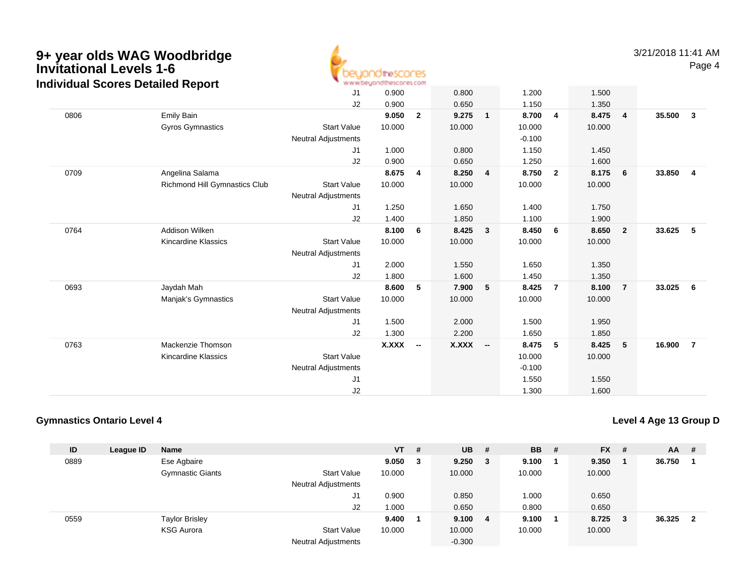

3/21/2018 11:41 AMPage 4

|      |                               | J <sub>1</sub><br>J2                             | 0.900<br>0.900 |                          | 0.800<br>0.650 |                          | 1.200<br>1.150     |                | 1.500<br>1.350 |                |        |                         |
|------|-------------------------------|--------------------------------------------------|----------------|--------------------------|----------------|--------------------------|--------------------|----------------|----------------|----------------|--------|-------------------------|
| 0806 | Emily Bain                    |                                                  | 9.050          | $\overline{2}$           | 9.275          | $\mathbf{1}$             | 8.700              | 4              | 8.475          | $\overline{4}$ | 35.500 | $\overline{\mathbf{3}}$ |
|      | Gyros Gymnastics              | <b>Start Value</b><br><b>Neutral Adjustments</b> | 10.000         |                          | 10.000         |                          | 10.000<br>$-0.100$ |                | 10.000         |                |        |                         |
|      |                               | J <sub>1</sub>                                   | 1.000          |                          | 0.800          |                          | 1.150              |                | 1.450          |                |        |                         |
|      |                               | J2                                               | 0.900          |                          | 0.650          |                          | 1.250              |                | 1.600          |                |        |                         |
| 0709 | Angelina Salama               |                                                  | 8.675          | 4                        | 8.250          | 4                        | 8.750              | $\overline{2}$ | 8.175          | 6              | 33.850 | $\overline{4}$          |
|      | Richmond Hill Gymnastics Club | <b>Start Value</b><br><b>Neutral Adjustments</b> | 10.000         |                          | 10.000         |                          | 10.000             |                | 10.000         |                |        |                         |
|      |                               | J1                                               | 1.250          |                          | 1.650          |                          | 1.400              |                | 1.750          |                |        |                         |
|      |                               | J2                                               | 1.400          |                          | 1.850          |                          | 1.100              |                | 1.900          |                |        |                         |
| 0764 | <b>Addison Wilken</b>         |                                                  | 8.100          | 6                        | 8.425          | $\mathbf{3}$             | 8.450              | 6              | 8.650          | $\overline{2}$ | 33.625 | - 5                     |
|      | Kincardine Klassics           | <b>Start Value</b>                               | 10.000         |                          | 10.000         |                          | 10.000             |                | 10.000         |                |        |                         |
|      |                               | <b>Neutral Adjustments</b>                       |                |                          |                |                          |                    |                |                |                |        |                         |
|      |                               | J1                                               | 2.000          |                          | 1.550          |                          | 1.650              |                | 1.350          |                |        |                         |
|      |                               | J2                                               | 1.800          |                          | 1.600          |                          | 1.450              |                | 1.350          |                |        |                         |
| 0693 | Jaydah Mah                    |                                                  | 8.600          | 5                        | 7.900          | 5                        | 8.425              | $\overline{7}$ | 8.100          | $\overline{7}$ | 33.025 | $6\phantom{.0}6$        |
|      | Manjak's Gymnastics           | <b>Start Value</b><br><b>Neutral Adjustments</b> | 10.000         |                          | 10.000         |                          | 10.000             |                | 10.000         |                |        |                         |
|      |                               | J1                                               | 1.500          |                          | 2.000          |                          | 1.500              |                | 1.950          |                |        |                         |
|      |                               | J2                                               | 1.300          |                          | 2.200          |                          | 1.650              |                | 1.850          |                |        |                         |
| 0763 | Mackenzie Thomson             |                                                  | X.XXX          | $\overline{\phantom{a}}$ | <b>X.XXX</b>   | $\overline{\phantom{a}}$ | 8.475              | 5              | 8.425          | 5              | 16.900 | $\overline{7}$          |
|      | Kincardine Klassics           | <b>Start Value</b>                               |                |                          |                |                          | 10.000             |                | 10.000         |                |        |                         |
|      |                               | <b>Neutral Adjustments</b>                       |                |                          |                |                          | $-0.100$           |                |                |                |        |                         |
|      |                               | J <sub>1</sub>                                   |                |                          |                |                          | 1.550              |                | 1.550          |                |        |                         |
|      |                               | J2                                               |                |                          |                |                          | 1.300              |                | 1.600          |                |        |                         |

### **Gymnastics Ontario Level 4**

**Level 4 Age 13 Group D**

| ID   | League ID | Name                    |                            | <b>VT</b> | # | <b>UB</b> | #  | <b>BB</b> # | $FX$ #  | AA     | #                       |
|------|-----------|-------------------------|----------------------------|-----------|---|-----------|----|-------------|---------|--------|-------------------------|
| 0889 |           | Ese Agbaire             |                            | 9.050     | 3 | 9.250     | 3  | 9.100       | 9.350   | 36.750 |                         |
|      |           | <b>Gymnastic Giants</b> | <b>Start Value</b>         | 10.000    |   | 10.000    |    | 10.000      | 10.000  |        |                         |
|      |           |                         | <b>Neutral Adjustments</b> |           |   |           |    |             |         |        |                         |
|      |           |                         | J1                         | 0.900     |   | 0.850     |    | 1.000       | 0.650   |        |                         |
|      |           |                         | J <sub>2</sub>             | 1.000     |   | 0.650     |    | 0.800       | 0.650   |        |                         |
| 0559 |           | <b>Taylor Brisley</b>   |                            | 9.400     |   | 9.100     | -4 | 9.100       | 8.725 3 | 36.325 | $\overline{\mathbf{2}}$ |
|      |           | <b>KSG Aurora</b>       | <b>Start Value</b>         | 10.000    |   | 10.000    |    | 10.000      | 10.000  |        |                         |
|      |           |                         | Neutral Adjustments        |           |   | $-0.300$  |    |             |         |        |                         |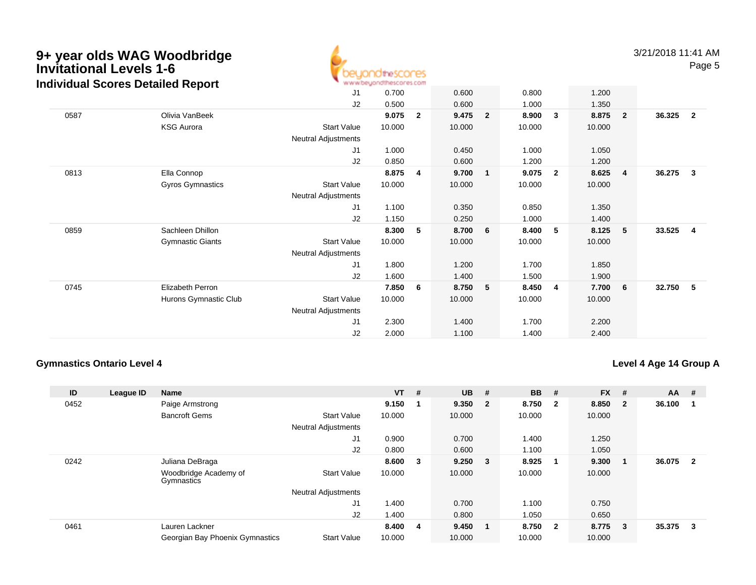### **9+ year olds WAG Woodbridge Invitational Levels 1-6** $B_1$  and  $B_2$  and  $B_3$ **Individual Scores Detailed Report**



|      | ìdividual Scores Detailed Report |                            | * www.beyondthescores.com |                |        |                |         |                |        |                         |        |                |
|------|----------------------------------|----------------------------|---------------------------|----------------|--------|----------------|---------|----------------|--------|-------------------------|--------|----------------|
|      |                                  | J1                         | 0.700                     |                | 0.600  |                | 0.800   |                | 1.200  |                         |        |                |
|      |                                  | J2                         | 0.500                     |                | 0.600  |                | 1.000   |                | 1.350  |                         |        |                |
| 0587 | Olivia VanBeek                   |                            | 9.075                     | $\overline{2}$ | 9.475  | $\overline{2}$ | 8.900   | 3              | 8.875  | $\overline{\mathbf{2}}$ | 36.325 | $\overline{2}$ |
|      | <b>KSG Aurora</b>                | Start Value                | 10.000                    |                | 10.000 |                | 10.000  |                | 10.000 |                         |        |                |
|      |                                  | <b>Neutral Adjustments</b> |                           |                |        |                |         |                |        |                         |        |                |
|      |                                  | J1                         | 1.000                     |                | 0.450  |                | 1.000   |                | 1.050  |                         |        |                |
|      |                                  | J2                         | 0.850                     |                | 0.600  |                | 1.200   |                | 1.200  |                         |        |                |
| 0813 | Ella Connop                      |                            | 8.875                     | 4              | 9.700  | $\mathbf{1}$   | 9.075   | $\overline{2}$ | 8.625  | $\overline{4}$          | 36.275 | 3              |
|      | Gyros Gymnastics                 | Start Value                | 10.000                    |                | 10.000 |                | 10.000  |                | 10.000 |                         |        |                |
|      |                                  | <b>Neutral Adjustments</b> |                           |                |        |                |         |                |        |                         |        |                |
|      |                                  | J1                         | 1.100                     |                | 0.350  |                | 0.850   |                | 1.350  |                         |        |                |
|      |                                  | J2                         | 1.150                     |                | 0.250  |                | 1.000   |                | 1.400  |                         |        |                |
| 0859 | Sachleen Dhillon                 |                            | 8.300                     | 5              | 8.700  | 6              | 8.400   | 5              | 8.125  | 5                       | 33.525 | $\overline{4}$ |
|      | <b>Gymnastic Giants</b>          | <b>Start Value</b>         | 10.000                    |                | 10.000 |                | 10.000  |                | 10.000 |                         |        |                |
|      |                                  | Neutral Adjustments        |                           |                |        |                |         |                |        |                         |        |                |
|      |                                  | J1                         | 1.800                     |                | 1.200  |                | 1.700   |                | 1.850  |                         |        |                |
|      |                                  | J2                         | 1.600                     |                | 1.400  |                | 1.500   |                | 1.900  |                         |        |                |
| 0745 | Elizabeth Perron                 |                            | 7.850                     | 6              | 8.750  | 5              | 8.450 4 |                | 7.700  | $6\phantom{.0}6$        | 32.750 | -5             |
|      | Hurons Gymnastic Club            | <b>Start Value</b>         | 10.000                    |                | 10.000 |                | 10.000  |                | 10.000 |                         |        |                |
|      |                                  | Neutral Adjustments        |                           |                |        |                |         |                |        |                         |        |                |
|      |                                  | J1                         | 2.300                     |                | 1.400  |                | 1.700   |                | 2.200  |                         |        |                |
|      |                                  | J2                         | 2.000                     |                | 1.100  |                | 1.400   |                | 2.400  |                         |        |                |

### **Gymnastics Ontario Level 4**

### **Level 4 Age 14 Group A**

| ID   | League ID | <b>Name</b>                         |                            | $VT$ # |                         | <b>UB</b> | #                       | <b>BB</b> | #                       | <b>FX</b> | #            | $AA$ # |                         |
|------|-----------|-------------------------------------|----------------------------|--------|-------------------------|-----------|-------------------------|-----------|-------------------------|-----------|--------------|--------|-------------------------|
| 0452 |           | Paige Armstrong                     |                            | 9.150  |                         | 9.350     | $\overline{\mathbf{2}}$ | 8.750     | $\overline{\mathbf{2}}$ | 8.850     | $\mathbf{2}$ | 36.100 |                         |
|      |           | <b>Bancroft Gems</b>                | <b>Start Value</b>         | 10.000 |                         | 10.000    |                         | 10.000    |                         | 10.000    |              |        |                         |
|      |           |                                     | <b>Neutral Adjustments</b> |        |                         |           |                         |           |                         |           |              |        |                         |
|      |           |                                     | J1                         | 0.900  |                         | 0.700     |                         | 1.400     |                         | 1.250     |              |        |                         |
|      |           |                                     | J2                         | 0.800  |                         | 0.600     |                         | 1.100     |                         | 1.050     |              |        |                         |
| 0242 |           | Juliana DeBraga                     |                            | 8.600  | $_{3}$                  | 9.250     | $_{3}$                  | 8.925     |                         | 9.300     | -1           | 36.075 | $\overline{\mathbf{2}}$ |
|      |           | Woodbridge Academy of<br>Gymnastics | <b>Start Value</b>         | 10.000 |                         | 10.000    |                         | 10.000    |                         | 10.000    |              |        |                         |
|      |           |                                     | <b>Neutral Adjustments</b> |        |                         |           |                         |           |                         |           |              |        |                         |
|      |           |                                     | J1                         | 1.400  |                         | 0.700     |                         | 1.100     |                         | 0.750     |              |        |                         |
|      |           |                                     | J <sub>2</sub>             | 1.400  |                         | 0.800     |                         | 1.050     |                         | 0.650     |              |        |                         |
| 0461 |           | Lauren Lackner                      |                            | 8.400  | $\overline{\mathbf{4}}$ | 9.450     | - 1                     | 8.750     | $\overline{\mathbf{2}}$ | 8.775     | 3            | 35.375 | 3                       |
|      |           | Georgian Bay Phoenix Gymnastics     | <b>Start Value</b>         | 10.000 |                         | 10.000    |                         | 10.000    |                         | 10.000    |              |        |                         |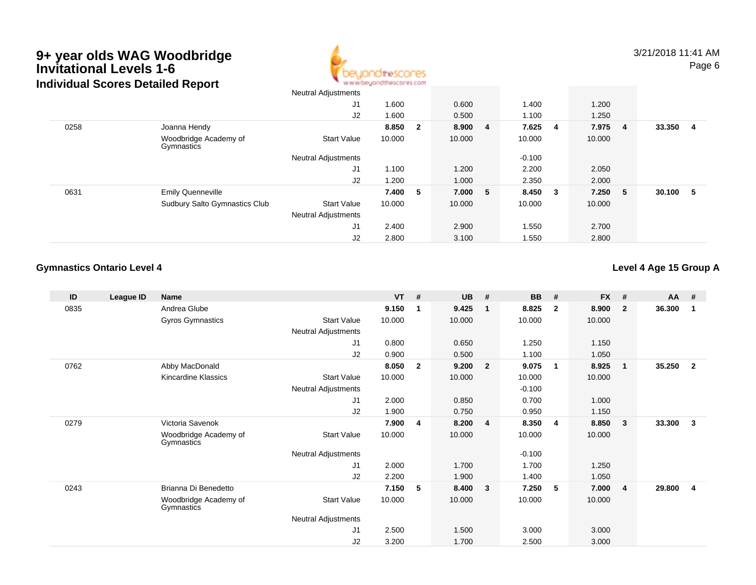

|      |                                      | Neutral Adjustments        |        |     |         |          |     |        |                |        |    |
|------|--------------------------------------|----------------------------|--------|-----|---------|----------|-----|--------|----------------|--------|----|
|      |                                      | J1                         | 1.600  |     | 0.600   | 1.400    |     | 1.200  |                |        |    |
|      |                                      | J2                         | 1.600  |     | 0.500   | 1.100    |     | 1.250  |                |        |    |
| 0258 | Joanna Hendy                         |                            | 8.850  | - 2 | 8.900 4 | 7.625    | - 4 | 7.975  | $\blacksquare$ | 33.350 | -4 |
|      | Woodbridge Academy of<br>Gymnastics  | <b>Start Value</b>         | 10.000 |     | 10.000  | 10.000   |     | 10.000 |                |        |    |
|      |                                      | <b>Neutral Adjustments</b> |        |     |         | $-0.100$ |     |        |                |        |    |
|      |                                      | J1                         | 1.100  |     | 1.200   | 2.200    |     | 2.050  |                |        |    |
|      |                                      | J2                         | 1.200  |     | 1.000   | 2.350    |     | 2.000  |                |        |    |
| 0631 | <b>Emily Quenneville</b>             |                            | 7.400  | -5  | 7.000 5 | 8.450 3  |     | 7.250  | - 5            | 30.100 | 5  |
|      | <b>Sudbury Salto Gymnastics Club</b> | <b>Start Value</b>         | 10.000 |     | 10.000  | 10.000   |     | 10.000 |                |        |    |
|      |                                      | <b>Neutral Adjustments</b> |        |     |         |          |     |        |                |        |    |
|      |                                      | J1                         | 2.400  |     | 2.900   | 1.550    |     | 2.700  |                |        |    |
|      |                                      | J2                         | 2.800  |     | 3.100   | 1.550    |     | 2.800  |                |        |    |

### **Gymnastics Ontario Level 4**

### **Level 4 Age 15 Group A**

| ID   | League ID | <b>Name</b>                         |                     | <b>VT</b> | #            | <b>UB</b> | #              | <b>BB</b> | #              | <b>FX</b> | #                       | AA     | #                       |
|------|-----------|-------------------------------------|---------------------|-----------|--------------|-----------|----------------|-----------|----------------|-----------|-------------------------|--------|-------------------------|
| 0835 |           | Andrea Glube                        |                     | 9.150     | 1            | 9.425     | $\mathbf{1}$   | 8.825     | $\overline{2}$ | 8.900     | $\overline{\mathbf{2}}$ | 36.300 | -1                      |
|      |           | Gyros Gymnastics                    | <b>Start Value</b>  | 10.000    |              | 10.000    |                | 10.000    |                | 10.000    |                         |        |                         |
|      |           |                                     | Neutral Adjustments |           |              |           |                |           |                |           |                         |        |                         |
|      |           |                                     | J1                  | 0.800     |              | 0.650     |                | 1.250     |                | 1.150     |                         |        |                         |
|      |           |                                     | J2                  | 0.900     |              | 0.500     |                | 1.100     |                | 1.050     |                         |        |                         |
| 0762 |           | Abby MacDonald                      |                     | 8.050     | $\mathbf{2}$ | 9.200     | $\overline{2}$ | 9.075     | $\mathbf 1$    | 8.925     | $\overline{\mathbf{1}}$ | 35.250 | $\mathbf{2}$            |
|      |           | Kincardine Klassics                 | <b>Start Value</b>  | 10.000    |              | 10.000    |                | 10.000    |                | 10.000    |                         |        |                         |
|      |           |                                     | Neutral Adjustments |           |              |           |                | $-0.100$  |                |           |                         |        |                         |
|      |           |                                     | J1                  | 2.000     |              | 0.850     |                | 0.700     |                | 1.000     |                         |        |                         |
|      |           |                                     | J2                  | 1.900     |              | 0.750     |                | 0.950     |                | 1.150     |                         |        |                         |
| 0279 |           | Victoria Savenok                    |                     | 7.900     | 4            | 8.200     | $\overline{4}$ | 8.350     | 4              | 8.850     | $\mathbf{3}$            | 33.300 | 3                       |
|      |           | Woodbridge Academy of<br>Gymnastics | <b>Start Value</b>  | 10.000    |              | 10.000    |                | 10.000    |                | 10.000    |                         |        |                         |
|      |           |                                     | Neutral Adjustments |           |              |           |                | $-0.100$  |                |           |                         |        |                         |
|      |           |                                     | J1                  | 2.000     |              | 1.700     |                | 1.700     |                | 1.250     |                         |        |                         |
|      |           |                                     | J2                  | 2.200     |              | 1.900     |                | 1.400     |                | 1.050     |                         |        |                         |
| 0243 |           | Brianna Di Benedetto                |                     | 7.150     | 5            | 8.400     | 3              | 7.250     | 5              | 7.000     | -4                      | 29.800 | $\overline{\mathbf{4}}$ |
|      |           | Woodbridge Academy of<br>Gymnastics | <b>Start Value</b>  | 10.000    |              | 10.000    |                | 10.000    |                | 10.000    |                         |        |                         |
|      |           |                                     | Neutral Adjustments |           |              |           |                |           |                |           |                         |        |                         |
|      |           |                                     | J1                  | 2.500     |              | 1.500     |                | 3.000     |                | 3.000     |                         |        |                         |
|      |           |                                     | J2                  | 3.200     |              | 1.700     |                | 2.500     |                | 3.000     |                         |        |                         |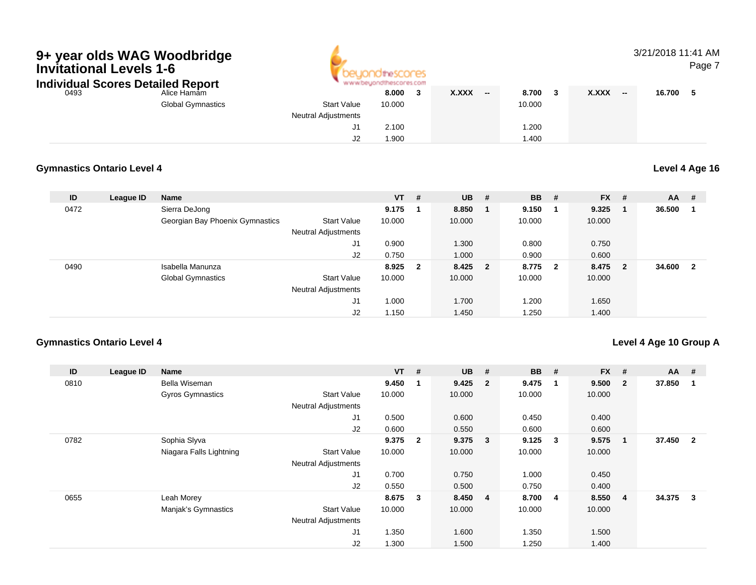

### 3/21/2018 11:41 AMPage 7

| Individual Scores Detailed Report |                          |                            | www.beyondthescores.com |                       |        |                                 |        |
|-----------------------------------|--------------------------|----------------------------|-------------------------|-----------------------|--------|---------------------------------|--------|
| 0493                              | Alice Hamam              |                            | 8.000                   | <b>X.XXX</b><br>$- -$ | 8.700  | <b>X.XXX</b><br>$\qquad \qquad$ | 16.700 |
|                                   | <b>Global Gymnastics</b> | <b>Start Value</b>         | 10.000                  |                       | 10.000 |                                 |        |
|                                   |                          | <b>Neutral Adjustments</b> |                         |                       |        |                                 |        |
|                                   |                          |                            | 2.100                   |                       | .200   |                                 |        |
|                                   |                          | J2                         | 1.900                   |                       | .400   |                                 |        |

### **Gymnastics Ontario Level 4**

### **Level 4 Age 16**

| ID   | League ID | Name                            |                            | <b>VT</b> | #   | <b>UB</b> | #                       | <b>BB</b> | #                       | <b>FX</b> | #                       | $AA$ # |              |
|------|-----------|---------------------------------|----------------------------|-----------|-----|-----------|-------------------------|-----------|-------------------------|-----------|-------------------------|--------|--------------|
| 0472 |           | Sierra DeJong                   |                            | 9.175     | - 1 | 8.850     |                         | 9.150     |                         | 9.325     |                         | 36.500 |              |
|      |           | Georgian Bay Phoenix Gymnastics | <b>Start Value</b>         | 10.000    |     | 10.000    |                         | 10.000    |                         | 10.000    |                         |        |              |
|      |           |                                 | <b>Neutral Adjustments</b> |           |     |           |                         |           |                         |           |                         |        |              |
|      |           |                                 | J1                         | 0.900     |     | 1.300     |                         | 0.800     |                         | 0.750     |                         |        |              |
|      |           |                                 | J2                         | 0.750     |     | 1.000     |                         | 0.900     |                         | 0.600     |                         |        |              |
| 0490 |           | Isabella Manunza                |                            | 8.925 2   |     | 8.425     | $\overline{\mathbf{2}}$ | 8.775     | $\overline{\mathbf{2}}$ | 8.475     | $\overline{\mathbf{2}}$ | 34.600 | $\mathbf{2}$ |
|      |           | <b>Global Gymnastics</b>        | <b>Start Value</b>         | 10.000    |     | 10.000    |                         | 10.000    |                         | 10.000    |                         |        |              |
|      |           |                                 | <b>Neutral Adjustments</b> |           |     |           |                         |           |                         |           |                         |        |              |
|      |           |                                 | J1                         | 1.000     |     | 1.700     |                         | 1.200     |                         | 1.650     |                         |        |              |
|      |           |                                 | J <sub>2</sub>             | 1.150     |     | 1.450     |                         | 1.250     |                         | 1.400     |                         |        |              |

### **Gymnastics Ontario Level 4**

### **Level 4 Age 10 Group A**

| ID   | League ID | <b>Name</b>             |                            | $VT$ # |                         | <b>UB</b> | #              | <b>BB</b> | # | $FX$ # |                | $AA$ # |                         |
|------|-----------|-------------------------|----------------------------|--------|-------------------------|-----------|----------------|-----------|---|--------|----------------|--------|-------------------------|
| 0810 |           | Bella Wiseman           |                            | 9.450  | $\overline{\mathbf{1}}$ | 9.425     | $\overline{2}$ | 9.475     |   | 9.500  | $\overline{2}$ | 37.850 |                         |
|      |           | <b>Gyros Gymnastics</b> | <b>Start Value</b>         | 10.000 |                         | 10.000    |                | 10.000    |   | 10.000 |                |        |                         |
|      |           |                         | <b>Neutral Adjustments</b> |        |                         |           |                |           |   |        |                |        |                         |
|      |           |                         | J <sub>1</sub>             | 0.500  |                         | 0.600     |                | 0.450     |   | 0.400  |                |        |                         |
|      |           |                         | J2                         | 0.600  |                         | 0.550     |                | 0.600     |   | 0.600  |                |        |                         |
| 0782 |           | Sophia Slyva            |                            | 9.375  | $\overline{\mathbf{2}}$ | 9.375     | 3              | 9.125     | 3 | 9.575  |                | 37.450 | $\overline{2}$          |
|      |           | Niagara Falls Lightning | <b>Start Value</b>         | 10.000 |                         | 10.000    |                | 10.000    |   | 10.000 |                |        |                         |
|      |           |                         | <b>Neutral Adjustments</b> |        |                         |           |                |           |   |        |                |        |                         |
|      |           |                         | J <sub>1</sub>             | 0.700  |                         | 0.750     |                | 1.000     |   | 0.450  |                |        |                         |
|      |           |                         | J2                         | 0.550  |                         | 0.500     |                | 0.750     |   | 0.400  |                |        |                         |
| 0655 |           | Leah Morey              |                            | 8.675  | $\overline{\mathbf{3}}$ | 8.450     | -4             | 8.700     | 4 | 8.550  | 4              | 34.375 | $\overline{\mathbf{3}}$ |
|      |           | Manjak's Gymnastics     | <b>Start Value</b>         | 10.000 |                         | 10.000    |                | 10.000    |   | 10.000 |                |        |                         |
|      |           |                         | <b>Neutral Adjustments</b> |        |                         |           |                |           |   |        |                |        |                         |
|      |           |                         | J <sub>1</sub>             | 1.350  |                         | 1.600     |                | 1.350     |   | 1.500  |                |        |                         |
|      |           |                         | J2                         | 1.300  |                         | 1.500     |                | 1.250     |   | 1.400  |                |        |                         |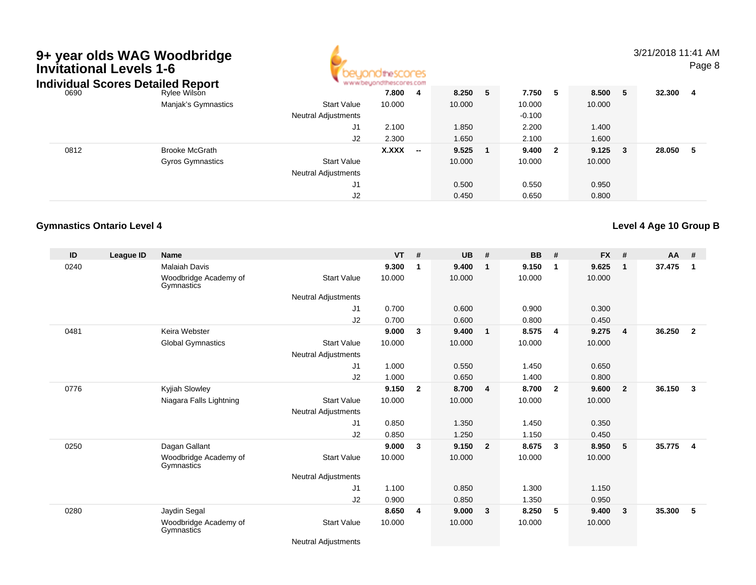| <b>Invitational Levels 1-6</b> | 9+ year olds WAG Woodbridge<br><b>Individual Scores Detailed Report</b> |                            | thescores |                   |        |   |          |                         |        |   | 3/21/2018 11:41 AM | Page 8 |
|--------------------------------|-------------------------------------------------------------------------|----------------------------|-----------|-------------------|--------|---|----------|-------------------------|--------|---|--------------------|--------|
| 0690                           | <b>Rylee Wilson</b>                                                     |                            | 7.800     | - 4               | 8.250  | 5 | 7.750    | - 5                     | 8.500  | 5 | 32.300             | - 4    |
|                                | Manjak's Gymnastics                                                     | <b>Start Value</b>         | 10.000    |                   | 10.000 |   | 10.000   |                         | 10.000 |   |                    |        |
|                                |                                                                         | <b>Neutral Adjustments</b> |           |                   |        |   | $-0.100$ |                         |        |   |                    |        |
|                                |                                                                         | J <sub>1</sub>             | 2.100     |                   | 1.850  |   | 2.200    |                         | 1.400  |   |                    |        |
|                                |                                                                         | J2                         | 2.300     |                   | 1.650  |   | 2.100    |                         | 1.600  |   |                    |        |
| 0812                           | <b>Brooke McGrath</b>                                                   |                            | X.XXX     | $\hspace{0.05cm}$ | 9.525  |   | 9.400    | $\overline{\mathbf{2}}$ | 9.125  | 3 | 28.050             | - 5    |
|                                | <b>Gyros Gymnastics</b>                                                 | <b>Start Value</b>         |           |                   | 10.000 |   | 10.000   |                         | 10.000 |   |                    |        |
|                                |                                                                         | <b>Neutral Adjustments</b> |           |                   |        |   |          |                         |        |   |                    |        |
|                                |                                                                         | J1                         |           |                   | 0.500  |   | 0.550    |                         | 0.950  |   |                    |        |
|                                |                                                                         | J2                         |           |                   | 0.450  |   | 0.650    |                         | 0.800  |   |                    |        |

### **Gymnastics Ontario Level 4**

| ID   | League ID | <b>Name</b>                         |                            | <b>VT</b> | #              | <b>UB</b> | #                       | <b>BB</b> | #              | <b>FX</b> | #              | AA #   |                         |
|------|-----------|-------------------------------------|----------------------------|-----------|----------------|-----------|-------------------------|-----------|----------------|-----------|----------------|--------|-------------------------|
| 0240 |           | <b>Malaiah Davis</b>                |                            | 9.300     |                | 9.400     | $\mathbf 1$             | 9.150     | -1             | 9.625     | $\mathbf{1}$   | 37.475 | $\mathbf 1$             |
|      |           | Woodbridge Academy of<br>Gymnastics | <b>Start Value</b>         | 10.000    |                | 10.000    |                         | 10.000    |                | 10.000    |                |        |                         |
|      |           |                                     | <b>Neutral Adjustments</b> |           |                |           |                         |           |                |           |                |        |                         |
|      |           |                                     | J <sub>1</sub>             | 0.700     |                | 0.600     |                         | 0.900     |                | 0.300     |                |        |                         |
|      |           |                                     | J2                         | 0.700     |                | 0.600     |                         | 0.800     |                | 0.450     |                |        |                         |
| 0481 |           | Keira Webster                       |                            | 9.000     | 3              | 9.400     | $\overline{\mathbf{1}}$ | 8.575     | 4              | 9.275     | $\overline{4}$ | 36.250 | $\overline{2}$          |
|      |           | <b>Global Gymnastics</b>            | <b>Start Value</b>         | 10.000    |                | 10.000    |                         | 10.000    |                | 10.000    |                |        |                         |
|      |           |                                     | Neutral Adjustments        |           |                |           |                         |           |                |           |                |        |                         |
|      |           |                                     | J <sub>1</sub>             | 1.000     |                | 0.550     |                         | 1.450     |                | 0.650     |                |        |                         |
|      |           |                                     | J2                         | 1.000     |                | 0.650     |                         | 1.400     |                | 0.800     |                |        |                         |
| 0776 |           | Kyjiah Slowley                      |                            | 9.150     | $\overline{2}$ | 8.700     | $\overline{4}$          | 8.700     | $\overline{2}$ | 9.600     | $\overline{2}$ | 36.150 | $\mathbf{3}$            |
|      |           | Niagara Falls Lightning             | <b>Start Value</b>         | 10.000    |                | 10.000    |                         | 10.000    |                | 10.000    |                |        |                         |
|      |           |                                     | <b>Neutral Adjustments</b> |           |                |           |                         |           |                |           |                |        |                         |
|      |           |                                     | J <sub>1</sub>             | 0.850     |                | 1.350     |                         | 1.450     |                | 0.350     |                |        |                         |
|      |           |                                     | J2                         | 0.850     |                | 1.250     |                         | 1.150     |                | 0.450     |                |        |                         |
| 0250 |           | Dagan Gallant                       |                            | 9.000     | 3              | 9.150     | $\overline{2}$          | 8.675     | $\mathbf{3}$   | 8.950     | -5             | 35.775 | $\overline{\mathbf{4}}$ |
|      |           | Woodbridge Academy of<br>Gymnastics | <b>Start Value</b>         | 10.000    |                | 10.000    |                         | 10.000    |                | 10.000    |                |        |                         |
|      |           |                                     | Neutral Adjustments        |           |                |           |                         |           |                |           |                |        |                         |
|      |           |                                     | J <sub>1</sub>             | 1.100     |                | 0.850     |                         | 1.300     |                | 1.150     |                |        |                         |
|      |           |                                     | J2                         | 0.900     |                | 0.850     |                         | 1.350     |                | 0.950     |                |        |                         |
| 0280 |           | Jaydin Segal                        |                            | 8.650     | 4              | 9.000     | 3                       | 8.250     | 5              | 9.400     | 3              | 35.300 | 5                       |
|      |           | Woodbridge Academy of<br>Gymnastics | <b>Start Value</b>         | 10.000    |                | 10.000    |                         | 10.000    |                | 10.000    |                |        |                         |

**Level 4 Age 10 Group B**

Neutral Adjustments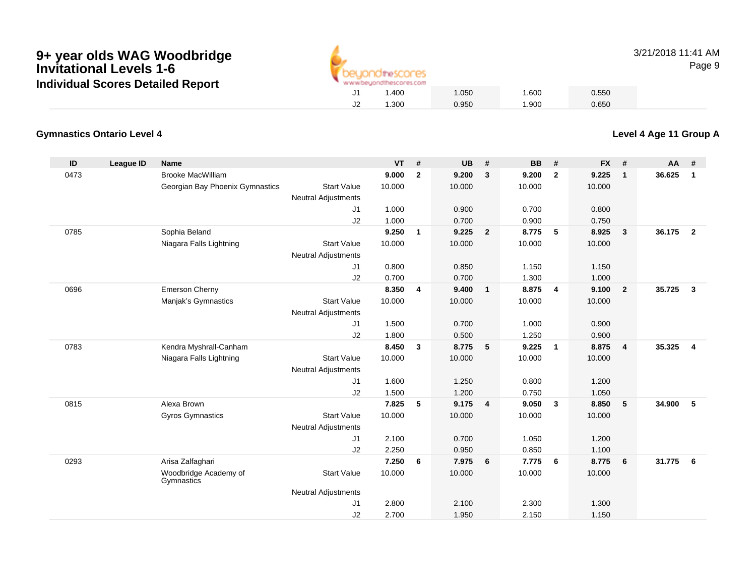

3/21/2018 11:41 AMPage 9

### **Gymnastics Ontario Level 4**

| ID   | <b>League ID</b> | <b>Name</b>                         |                            | <b>VT</b> | #              | <b>UB</b> | #              | <b>BB</b> | #                       | <b>FX</b> | #              | AA     | #              |
|------|------------------|-------------------------------------|----------------------------|-----------|----------------|-----------|----------------|-----------|-------------------------|-----------|----------------|--------|----------------|
| 0473 |                  | <b>Brooke MacWilliam</b>            |                            | 9.000     | $\overline{2}$ | 9.200     | 3              | 9.200     | $\overline{2}$          | 9.225     | $\mathbf{1}$   | 36.625 | $\mathbf{1}$   |
|      |                  | Georgian Bay Phoenix Gymnastics     | <b>Start Value</b>         | 10.000    |                | 10.000    |                | 10.000    |                         | 10.000    |                |        |                |
|      |                  |                                     | <b>Neutral Adjustments</b> |           |                |           |                |           |                         |           |                |        |                |
|      |                  |                                     | J1                         | 1.000     |                | 0.900     |                | 0.700     |                         | 0.800     |                |        |                |
|      |                  |                                     | J2                         | 1.000     |                | 0.700     |                | 0.900     |                         | 0.750     |                |        |                |
| 0785 |                  | Sophia Beland                       |                            | 9.250     | $\mathbf{1}$   | 9.225     | $\overline{2}$ | 8.775     | 5                       | 8.925     | $\mathbf{3}$   | 36.175 | $\overline{2}$ |
|      |                  | Niagara Falls Lightning             | <b>Start Value</b>         | 10.000    |                | 10.000    |                | 10.000    |                         | 10.000    |                |        |                |
|      |                  |                                     | <b>Neutral Adjustments</b> |           |                |           |                |           |                         |           |                |        |                |
|      |                  |                                     | J <sub>1</sub>             | 0.800     |                | 0.850     |                | 1.150     |                         | 1.150     |                |        |                |
|      |                  |                                     | J2                         | 0.700     |                | 0.700     |                | 1.300     |                         | 1.000     |                |        |                |
| 0696 |                  | <b>Emerson Cherny</b>               |                            | 8.350     | 4              | 9.400     | $\overline{1}$ | 8.875     | $\overline{4}$          | 9.100     | $\overline{2}$ | 35.725 | $\mathbf{3}$   |
|      |                  | Manjak's Gymnastics                 | <b>Start Value</b>         | 10.000    |                | 10.000    |                | 10.000    |                         | 10.000    |                |        |                |
|      |                  |                                     | <b>Neutral Adjustments</b> |           |                |           |                |           |                         |           |                |        |                |
|      |                  |                                     | J <sub>1</sub>             | 1.500     |                | 0.700     |                | 1.000     |                         | 0.900     |                |        |                |
|      |                  |                                     | J2                         | 1.800     |                | 0.500     |                | 1.250     |                         | 0.900     |                |        |                |
| 0783 |                  | Kendra Myshrall-Canham              |                            | 8.450     | 3              | 8.775     | - 5            | 9.225     | $\overline{1}$          | 8.875     | $\overline{4}$ | 35.325 | $\overline{4}$ |
|      |                  | Niagara Falls Lightning             | <b>Start Value</b>         | 10.000    |                | 10.000    |                | 10.000    |                         | 10.000    |                |        |                |
|      |                  |                                     | <b>Neutral Adjustments</b> |           |                |           |                |           |                         |           |                |        |                |
|      |                  |                                     | J <sub>1</sub>             | 1.600     |                | 1.250     |                | 0.800     |                         | 1.200     |                |        |                |
|      |                  |                                     | J2                         | 1.500     |                | 1.200     |                | 0.750     |                         | 1.050     |                |        |                |
| 0815 |                  | Alexa Brown                         |                            | 7.825     | 5              | 9.175     | $\overline{4}$ | 9.050     | $\overline{\mathbf{3}}$ | 8.850     | 5              | 34.900 | 5              |
|      |                  | <b>Gyros Gymnastics</b>             | <b>Start Value</b>         | 10.000    |                | 10.000    |                | 10.000    |                         | 10.000    |                |        |                |
|      |                  |                                     | <b>Neutral Adjustments</b> |           |                |           |                |           |                         |           |                |        |                |
|      |                  |                                     | J1                         | 2.100     |                | 0.700     |                | 1.050     |                         | 1.200     |                |        |                |
|      |                  |                                     | J2                         | 2.250     |                | 0.950     |                | 0.850     |                         | 1.100     |                |        |                |
| 0293 |                  | Arisa Zalfaghari                    |                            | 7.250     | 6              | 7.975     | 6              | 7.775     | 6                       | 8.775     | 6              | 31.775 | 6              |
|      |                  | Woodbridge Academy of<br>Gymnastics | <b>Start Value</b>         | 10.000    |                | 10.000    |                | 10.000    |                         | 10.000    |                |        |                |
|      |                  |                                     | <b>Neutral Adjustments</b> |           |                |           |                |           |                         |           |                |        |                |
|      |                  |                                     | J1                         | 2.800     |                | 2.100     |                | 2.300     |                         | 1.300     |                |        |                |
|      |                  |                                     | J2                         | 2.700     |                | 1.950     |                | 2.150     |                         | 1.150     |                |        |                |

**Level 4 Age 11 Group A**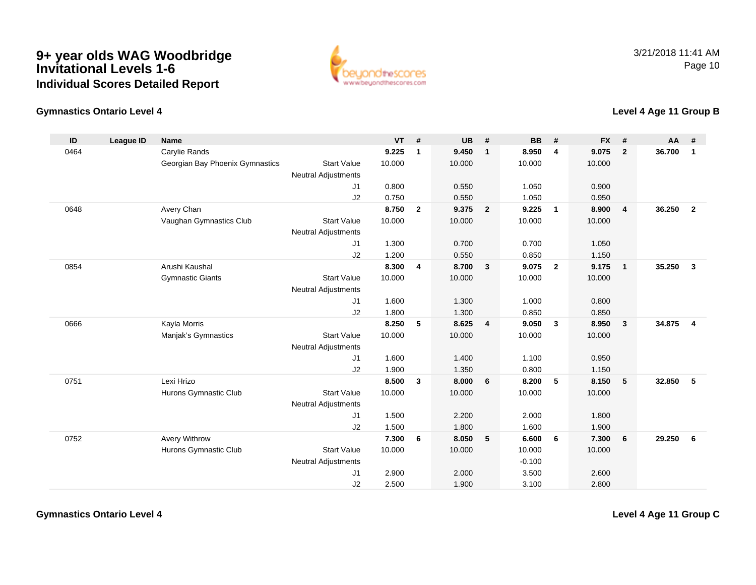

### **Gymnastics Ontario Level 4**

### **Level 4 Age 11 Group B**

| ID   | <b>League ID</b> | <b>Name</b>                     |                            | <b>VT</b> | #                       | <b>UB</b> | #                       | <b>BB</b> | #              | <b>FX</b> | #            | <b>AA</b> | #                       |
|------|------------------|---------------------------------|----------------------------|-----------|-------------------------|-----------|-------------------------|-----------|----------------|-----------|--------------|-----------|-------------------------|
| 0464 |                  | Carylie Rands                   |                            | 9.225     | $\mathbf{1}$            | 9.450     | $\overline{1}$          | 8.950     | $\overline{4}$ | 9.075     | $\mathbf{2}$ | 36.700    | $\mathbf{1}$            |
|      |                  | Georgian Bay Phoenix Gymnastics | <b>Start Value</b>         | 10.000    |                         | 10.000    |                         | 10.000    |                | 10.000    |              |           |                         |
|      |                  |                                 | <b>Neutral Adjustments</b> |           |                         |           |                         |           |                |           |              |           |                         |
|      |                  |                                 | J1                         | 0.800     |                         | 0.550     |                         | 1.050     |                | 0.900     |              |           |                         |
|      |                  |                                 | J2                         | 0.750     |                         | 0.550     |                         | 1.050     |                | 0.950     |              |           |                         |
| 0648 |                  | Avery Chan                      |                            | 8.750     | $\mathbf{2}$            | 9.375     | $\overline{\mathbf{2}}$ | 9.225     | $\overline{1}$ | 8.900     | 4            | 36.250    | $\overline{\mathbf{2}}$ |
|      |                  | Vaughan Gymnastics Club         | <b>Start Value</b>         | 10.000    |                         | 10.000    |                         | 10.000    |                | 10.000    |              |           |                         |
|      |                  |                                 | Neutral Adjustments        |           |                         |           |                         |           |                |           |              |           |                         |
|      |                  |                                 | J1                         | 1.300     |                         | 0.700     |                         | 0.700     |                | 1.050     |              |           |                         |
|      |                  |                                 | J2                         | 1.200     |                         | 0.550     |                         | 0.850     |                | 1.150     |              |           |                         |
| 0854 |                  | Arushi Kaushal                  |                            | 8.300     | $\overline{\mathbf{4}}$ | 8.700     | $\overline{\mathbf{3}}$ | 9.075     | $\overline{2}$ | 9.175     | $\mathbf{1}$ | 35.250    | $\mathbf{3}$            |
|      |                  | <b>Gymnastic Giants</b>         | <b>Start Value</b>         | 10.000    |                         | 10.000    |                         | 10.000    |                | 10.000    |              |           |                         |
|      |                  |                                 | <b>Neutral Adjustments</b> |           |                         |           |                         |           |                |           |              |           |                         |
|      |                  |                                 | J1                         | 1.600     |                         | 1.300     |                         | 1.000     |                | 0.800     |              |           |                         |
|      |                  |                                 | J2                         | 1.800     |                         | 1.300     |                         | 0.850     |                | 0.850     |              |           |                         |
| 0666 |                  | Kayla Morris                    |                            | 8.250     | 5                       | 8.625     | $\overline{4}$          | 9.050     | $\mathbf{3}$   | 8.950     | $\mathbf{3}$ | 34.875    | $\overline{4}$          |
|      |                  | Manjak's Gymnastics             | <b>Start Value</b>         | 10.000    |                         | 10.000    |                         | 10.000    |                | 10.000    |              |           |                         |
|      |                  |                                 | <b>Neutral Adjustments</b> |           |                         |           |                         |           |                |           |              |           |                         |
|      |                  |                                 | J1                         | 1.600     |                         | 1.400     |                         | 1.100     |                | 0.950     |              |           |                         |
|      |                  |                                 | J2                         | 1.900     |                         | 1.350     |                         | 0.800     |                | 1.150     |              |           |                         |
| 0751 |                  | Lexi Hrizo                      |                            | 8.500     | $\mathbf{3}$            | 8.000     | 6                       | 8.200     | 5              | 8.150     | 5            | 32.850    | -5                      |
|      |                  | Hurons Gymnastic Club           | <b>Start Value</b>         | 10.000    |                         | 10.000    |                         | 10.000    |                | 10.000    |              |           |                         |
|      |                  |                                 | <b>Neutral Adjustments</b> |           |                         |           |                         |           |                |           |              |           |                         |
|      |                  |                                 | J1                         | 1.500     |                         | 2.200     |                         | 2.000     |                | 1.800     |              |           |                         |
|      |                  |                                 | J2                         | 1.500     |                         | 1.800     |                         | 1.600     |                | 1.900     |              |           |                         |
| 0752 |                  | Avery Withrow                   |                            | 7.300     | 6                       | 8.050     | 5                       | 6.600     | 6              | 7.300     | 6            | 29.250    | 6                       |
|      |                  | Hurons Gymnastic Club           | <b>Start Value</b>         | 10.000    |                         | 10.000    |                         | 10.000    |                | 10.000    |              |           |                         |
|      |                  |                                 | <b>Neutral Adjustments</b> |           |                         |           |                         | $-0.100$  |                |           |              |           |                         |
|      |                  |                                 | J1                         | 2.900     |                         | 2.000     |                         | 3.500     |                | 2.600     |              |           |                         |
|      |                  |                                 | J2                         | 2.500     |                         | 1.900     |                         | 3.100     |                | 2.800     |              |           |                         |

**Gymnastics Ontario Level 4**

**Level 4 Age 11 Group C**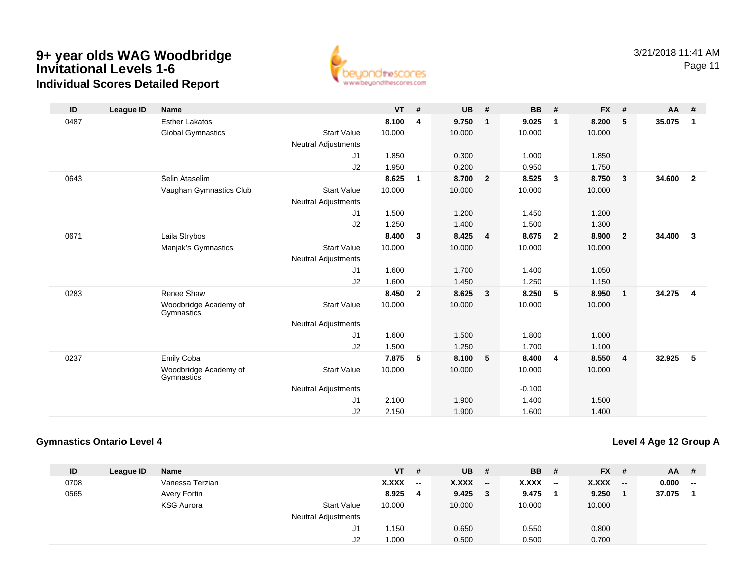

| ID   | League ID | <b>Name</b>                         |                            | <b>VT</b> | #            | <b>UB</b> | #              | <b>BB</b> | #              | <b>FX</b> | #                       | AA     | #                       |
|------|-----------|-------------------------------------|----------------------------|-----------|--------------|-----------|----------------|-----------|----------------|-----------|-------------------------|--------|-------------------------|
| 0487 |           | <b>Esther Lakatos</b>               |                            | 8.100     | 4            | 9.750     | $\mathbf{1}$   | 9.025     | 1              | 8.200     | 5                       | 35.075 | $\overline{1}$          |
|      |           | <b>Global Gymnastics</b>            | <b>Start Value</b>         | 10.000    |              | 10.000    |                | 10.000    |                | 10.000    |                         |        |                         |
|      |           |                                     | <b>Neutral Adjustments</b> |           |              |           |                |           |                |           |                         |        |                         |
|      |           |                                     | J1                         | 1.850     |              | 0.300     |                | 1.000     |                | 1.850     |                         |        |                         |
|      |           |                                     | J2                         | 1.950     |              | 0.200     |                | 0.950     |                | 1.750     |                         |        |                         |
| 0643 |           | Selin Ataselim                      |                            | 8.625     | 1            | 8.700     | $\overline{2}$ | 8.525     | $\mathbf{3}$   | 8.750     | $\overline{\mathbf{3}}$ | 34.600 | $\overline{2}$          |
|      |           | Vaughan Gymnastics Club             | <b>Start Value</b>         | 10.000    |              | 10.000    |                | 10.000    |                | 10.000    |                         |        |                         |
|      |           |                                     | <b>Neutral Adjustments</b> |           |              |           |                |           |                |           |                         |        |                         |
|      |           |                                     | J <sub>1</sub>             | 1.500     |              | 1.200     |                | 1.450     |                | 1.200     |                         |        |                         |
|      |           |                                     | J2                         | 1.250     |              | 1.400     |                | 1.500     |                | 1.300     |                         |        |                         |
| 0671 |           | Laila Strybos                       |                            | 8.400     | $\mathbf{3}$ | 8.425     | 4              | 8.675     | $\overline{2}$ | 8.900     | $\overline{\mathbf{2}}$ | 34.400 | $\overline{\mathbf{3}}$ |
|      |           | Manjak's Gymnastics                 | <b>Start Value</b>         | 10.000    |              | 10.000    |                | 10.000    |                | 10.000    |                         |        |                         |
|      |           |                                     | <b>Neutral Adjustments</b> |           |              |           |                |           |                |           |                         |        |                         |
|      |           |                                     | J1                         | 1.600     |              | 1.700     |                | 1.400     |                | 1.050     |                         |        |                         |
|      |           |                                     | J2                         | 1.600     |              | 1.450     |                | 1.250     |                | 1.150     |                         |        |                         |
| 0283 |           | Renee Shaw                          |                            | 8.450     | $\mathbf{2}$ | 8.625     | 3              | 8.250     | 5              | 8.950     | $\overline{1}$          | 34.275 | $\overline{4}$          |
|      |           | Woodbridge Academy of<br>Gymnastics | <b>Start Value</b>         | 10.000    |              | 10.000    |                | 10.000    |                | 10.000    |                         |        |                         |
|      |           |                                     | <b>Neutral Adjustments</b> |           |              |           |                |           |                |           |                         |        |                         |
|      |           |                                     | J1                         | 1.600     |              | 1.500     |                | 1.800     |                | 1.000     |                         |        |                         |
|      |           |                                     | J2                         | 1.500     |              | 1.250     |                | 1.700     |                | 1.100     |                         |        |                         |
| 0237 |           | <b>Emily Coba</b>                   |                            | 7.875     | 5            | 8.100     | 5              | 8.400     | 4              | 8.550     | $\overline{4}$          | 32.925 | - 5                     |
|      |           | Woodbridge Academy of<br>Gymnastics | <b>Start Value</b>         | 10.000    |              | 10.000    |                | 10.000    |                | 10.000    |                         |        |                         |
|      |           |                                     | <b>Neutral Adjustments</b> |           |              |           |                | $-0.100$  |                |           |                         |        |                         |
|      |           |                                     | J <sub>1</sub>             | 2.100     |              | 1.900     |                | 1.400     |                | 1.500     |                         |        |                         |
|      |           |                                     | J2                         | 2.150     |              | 1.900     |                | 1.600     |                | 1.400     |                         |        |                         |

### **Gymnastics Ontario Level 4**

**Level 4 Age 12 Group A**

| ID   | League ID | <b>Name</b>       |                            | VT           | #      | <b>UB</b> |       | <b>BB</b>    | - #                          | <b>FX</b>    | - # | <b>AA</b> | - #                      |
|------|-----------|-------------------|----------------------------|--------------|--------|-----------|-------|--------------|------------------------------|--------------|-----|-----------|--------------------------|
| 0708 |           | Vanessa Terzian   |                            | <b>X.XXX</b> | $\sim$ | X.XXX     | $- -$ | <b>X.XXX</b> | $\qquad \qquad \blacksquare$ | <b>X.XXX</b> | $-$ | 0.000     | $\overline{\phantom{a}}$ |
| 0565 |           | Avery Fortin      |                            | 8.925        | 4      | 9.425     | 3     | 9.475        |                              | 9.250        |     | 37.075    |                          |
|      |           | <b>KSG Aurora</b> | <b>Start Value</b>         | 10.000       |        | 10.000    |       | 10.000       |                              | 10.000       |     |           |                          |
|      |           |                   | <b>Neutral Adjustments</b> |              |        |           |       |              |                              |              |     |           |                          |
|      |           |                   | J1                         | 1.150        |        | 0.650     |       | 0.550        |                              | 0.800        |     |           |                          |
|      |           |                   | J2                         | 1.000        |        | 0.500     |       | 0.500        |                              | 0.700        |     |           |                          |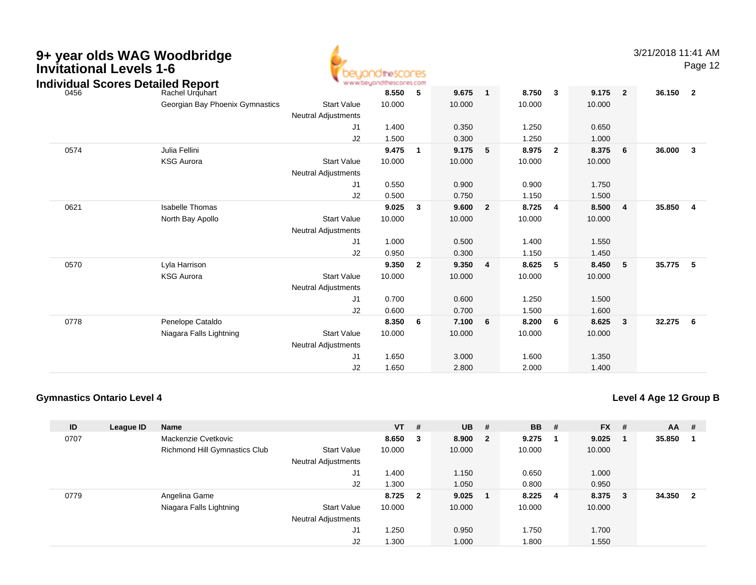| 9+ year olds WAG Woodbridge<br><b>Invitational Levels 1-6</b><br><b>Individual Scores Detailed Report</b> |                                 |                                                  | dtheSCOCES<br>www.beuondthescores.com |                |        |                |        |                         |        |                | 3/21/2018 11:41 AM | Page 12                 |
|-----------------------------------------------------------------------------------------------------------|---------------------------------|--------------------------------------------------|---------------------------------------|----------------|--------|----------------|--------|-------------------------|--------|----------------|--------------------|-------------------------|
| 0456                                                                                                      | Rachel Urguhart                 |                                                  | 8.550                                 | 5              | 9.675  | $\mathbf{1}$   | 8.750  | $\overline{\mathbf{3}}$ | 9.175  | $\overline{2}$ | 36.150             | $\overline{\mathbf{2}}$ |
|                                                                                                           | Georgian Bay Phoenix Gymnastics | <b>Start Value</b><br><b>Neutral Adjustments</b> | 10.000                                |                | 10.000 |                | 10.000 |                         | 10.000 |                |                    |                         |
|                                                                                                           |                                 | J1                                               | 1.400                                 |                | 0.350  |                | 1.250  |                         | 0.650  |                |                    |                         |
|                                                                                                           |                                 | J2                                               | 1.500                                 |                | 0.300  |                | 1.250  |                         | 1.000  |                |                    |                         |
| 0574                                                                                                      | Julia Fellini                   |                                                  | 9.475                                 | $\mathbf 1$    | 9.175  | 5              | 8.975  | $\overline{2}$          | 8.375  | 6              | 36.000             | $\mathbf{3}$            |
|                                                                                                           | <b>KSG Aurora</b>               | <b>Start Value</b><br><b>Neutral Adjustments</b> | 10.000                                |                | 10.000 |                | 10.000 |                         | 10.000 |                |                    |                         |
|                                                                                                           |                                 | J1                                               | 0.550                                 |                | 0.900  |                | 0.900  |                         | 1.750  |                |                    |                         |
|                                                                                                           |                                 | J2                                               | 0.500                                 |                | 0.750  |                | 1.150  |                         | 1.500  |                |                    |                         |
| 0621                                                                                                      | <b>Isabelle Thomas</b>          |                                                  | 9.025                                 | 3              | 9.600  | $\overline{2}$ | 8.725  | 4                       | 8.500  | $\overline{4}$ | 35.850             | $\overline{4}$          |
|                                                                                                           | North Bay Apollo                | <b>Start Value</b>                               | 10.000                                |                | 10.000 |                | 10.000 |                         | 10.000 |                |                    |                         |
|                                                                                                           |                                 | <b>Neutral Adjustments</b>                       |                                       |                |        |                |        |                         |        |                |                    |                         |
|                                                                                                           |                                 | J1                                               | 1.000                                 |                | 0.500  |                | 1.400  |                         | 1.550  |                |                    |                         |
|                                                                                                           |                                 | J2                                               | 0.950                                 |                | 0.300  |                | 1.150  |                         | 1.450  |                |                    |                         |
| 0570                                                                                                      | Lyla Harrison                   |                                                  | 9.350                                 | $\overline{2}$ | 9.350  | $\overline{4}$ | 8.625  | 5                       | 8.450  | 5              | 35.775             | 5                       |
|                                                                                                           | <b>KSG Aurora</b>               | <b>Start Value</b><br><b>Neutral Adjustments</b> | 10.000                                |                | 10.000 |                | 10.000 |                         | 10.000 |                |                    |                         |
|                                                                                                           |                                 | J1                                               | 0.700                                 |                | 0.600  |                | 1.250  |                         | 1.500  |                |                    |                         |
|                                                                                                           |                                 | J2                                               | 0.600                                 |                | 0.700  |                | 1.500  |                         | 1.600  |                |                    |                         |
| 0778                                                                                                      | Penelope Cataldo                |                                                  | 8.350                                 | 6              | 7.100  | 6              | 8.200  | 6                       | 8.625  | $\mathbf{3}$   | 32.275             | 6                       |
|                                                                                                           | Niagara Falls Lightning         | <b>Start Value</b><br><b>Neutral Adjustments</b> | 10.000                                |                | 10.000 |                | 10.000 |                         | 10.000 |                |                    |                         |
|                                                                                                           |                                 | J1                                               | 1.650                                 |                | 3.000  |                | 1.600  |                         | 1.350  |                |                    |                         |
|                                                                                                           |                                 | J2                                               | 1.650                                 |                | 2.800  |                | 2.000  |                         | 1.400  |                |                    |                         |

4.

### **Gymnastics Ontario Level 4**

**Level 4 Age 12 Group B**

| ID   | League ID | Name                          |                            | <b>VT</b> | #                       | <b>UB</b> | #            | <b>BB</b> | # | $FX$ # |     | $AA$ #   |  |
|------|-----------|-------------------------------|----------------------------|-----------|-------------------------|-----------|--------------|-----------|---|--------|-----|----------|--|
| 0707 |           | Mackenzie Cvetkovic           |                            | 8.650     | - 3                     | 8.900     | $\mathbf{2}$ | 9.275     |   | 9.025  |     | 35.850   |  |
|      |           | Richmond Hill Gymnastics Club | <b>Start Value</b>         | 10.000    |                         | 10.000    |              | 10.000    |   | 10.000 |     |          |  |
|      |           |                               | <b>Neutral Adjustments</b> |           |                         |           |              |           |   |        |     |          |  |
|      |           |                               | J1                         | 1.400     |                         | 1.150     |              | 0.650     |   | 1.000  |     |          |  |
|      |           |                               | J2                         | 1.300     |                         | 1.050     |              | 0.800     |   | 0.950  |     |          |  |
| 0779 |           | Angelina Game                 |                            | 8.725     | $\overline{\mathbf{2}}$ | 9.025     |              | 8.225     | 4 | 8.375  | - 3 | 34.350 2 |  |
|      |           | Niagara Falls Lightning       | <b>Start Value</b>         | 10.000    |                         | 10.000    |              | 10.000    |   | 10.000 |     |          |  |
|      |           |                               | <b>Neutral Adjustments</b> |           |                         |           |              |           |   |        |     |          |  |
|      |           |                               | J1                         | 1.250     |                         | 0.950     |              | 1.750     |   | 1.700  |     |          |  |
|      |           |                               | J2                         | 1.300     |                         | 1.000     |              | 1.800     |   | 1.550  |     |          |  |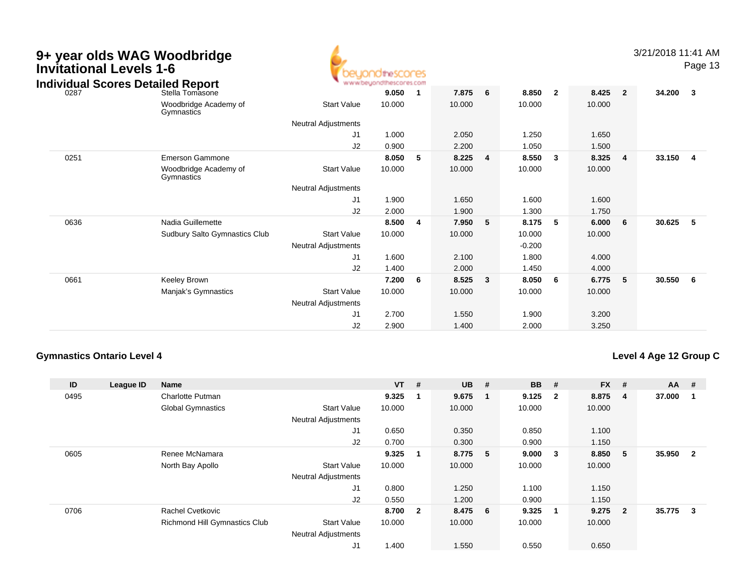| <b>Invitational Levels 1-6</b> | 9+ year olds WAG Woodbridge<br><b>Individual Scores Detailed Report</b> |                            | <b>idirescores</b><br>www.beyondthescores.com |                         |        |   |          |                |        |                | 3/21/2018 11:41 AM | Page 13        |
|--------------------------------|-------------------------------------------------------------------------|----------------------------|-----------------------------------------------|-------------------------|--------|---|----------|----------------|--------|----------------|--------------------|----------------|
| 0287                           | Stella Tomasone                                                         |                            | 9.050                                         | -1                      | 7.875  | 6 | 8.850    | $\overline{2}$ | 8.425  | $\overline{2}$ | 34.200             | $\mathbf{3}$   |
|                                | Woodbridge Academy of<br>Gymnastics                                     | <b>Start Value</b>         | 10.000                                        |                         | 10.000 |   | 10.000   |                | 10.000 |                |                    |                |
|                                |                                                                         | <b>Neutral Adjustments</b> |                                               |                         |        |   |          |                |        |                |                    |                |
|                                |                                                                         | J <sub>1</sub>             | 1.000                                         |                         | 2.050  |   | 1.250    |                | 1.650  |                |                    |                |
|                                |                                                                         | J2                         | 0.900                                         |                         | 2.200  |   | 1.050    |                | 1.500  |                |                    |                |
| 0251                           | Emerson Gammone                                                         |                            | 8.050                                         | 5                       | 8.225  | 4 | 8.550    | 3              | 8.325  | 4              | 33.150             | $\overline{4}$ |
|                                | Woodbridge Academy of<br>Gymnastics                                     | <b>Start Value</b>         | 10.000                                        |                         | 10.000 |   | 10.000   |                | 10.000 |                |                    |                |
|                                |                                                                         | Neutral Adjustments        |                                               |                         |        |   |          |                |        |                |                    |                |
|                                |                                                                         | J <sub>1</sub>             | 1.900                                         |                         | 1.650  |   | 1.600    |                | 1.600  |                |                    |                |
|                                |                                                                         | J2                         | 2.000                                         |                         | 1.900  |   | 1.300    |                | 1.750  |                |                    |                |
| 0636                           | Nadia Guillemette                                                       |                            | 8.500                                         | $\overline{\mathbf{4}}$ | 7.950  | 5 | 8.175    | 5              | 6.000  | 6              | 30.625             | 5              |
|                                | Sudbury Salto Gymnastics Club                                           | <b>Start Value</b>         | 10.000                                        |                         | 10.000 |   | 10.000   |                | 10.000 |                |                    |                |
|                                |                                                                         | <b>Neutral Adjustments</b> |                                               |                         |        |   | $-0.200$ |                |        |                |                    |                |
|                                |                                                                         | J1                         | 1.600                                         |                         | 2.100  |   | 1.800    |                | 4.000  |                |                    |                |
|                                |                                                                         | J2                         | 1.400                                         |                         | 2.000  |   | 1.450    |                | 4.000  |                |                    |                |
| 0661                           | Keeley Brown                                                            |                            | 7.200                                         | - 6                     | 8.525  | 3 | 8.050    | 6              | 6.775  | 5              | 30.550             | 6              |
|                                | Manjak's Gymnastics                                                     | <b>Start Value</b>         | 10.000                                        |                         | 10.000 |   | 10.000   |                | 10.000 |                |                    |                |
|                                |                                                                         | Neutral Adjustments        |                                               |                         |        |   |          |                |        |                |                    |                |
|                                |                                                                         | J <sub>1</sub>             | 2.700                                         |                         | 1.550  |   | 1.900    |                | 3.200  |                |                    |                |
|                                |                                                                         | J2                         | 2.900                                         |                         | 1.400  |   | 2.000    |                | 3.250  |                |                    |                |

### **Gymnastics Ontario Level 4**

### **Level 4 Age 12 Group C**

| ID   | League ID | <b>Name</b>                   |                            | $VT$ # |                | <b>UB</b> | $+$ | <b>BB</b> | #                       | <b>FX</b> | #                       | <b>AA</b> | #                       |
|------|-----------|-------------------------------|----------------------------|--------|----------------|-----------|-----|-----------|-------------------------|-----------|-------------------------|-----------|-------------------------|
| 0495 |           | <b>Charlotte Putman</b>       |                            | 9.325  | -1             | 9.675     |     | 9.125     | $\overline{\mathbf{2}}$ | 8.875     | $\overline{\mathbf{4}}$ | 37.000    |                         |
|      |           | <b>Global Gymnastics</b>      | <b>Start Value</b>         | 10.000 |                | 10.000    |     | 10.000    |                         | 10.000    |                         |           |                         |
|      |           |                               | <b>Neutral Adjustments</b> |        |                |           |     |           |                         |           |                         |           |                         |
|      |           |                               | J1                         | 0.650  |                | 0.350     |     | 0.850     |                         | 1.100     |                         |           |                         |
|      |           |                               | J2                         | 0.700  |                | 0.300     |     | 0.900     |                         | 1.150     |                         |           |                         |
| 0605 |           | Renee McNamara                |                            | 9.325  | -1             | 8.775     | - 5 | 9.000     | $\overline{\mathbf{3}}$ | 8.850     | -5                      | 35.950    | $\overline{\mathbf{2}}$ |
|      |           | North Bay Apollo              | <b>Start Value</b>         | 10.000 |                | 10.000    |     | 10.000    |                         | 10.000    |                         |           |                         |
|      |           |                               | <b>Neutral Adjustments</b> |        |                |           |     |           |                         |           |                         |           |                         |
|      |           |                               | J1                         | 0.800  |                | 1.250     |     | 1.100     |                         | 1.150     |                         |           |                         |
|      |           |                               | J2                         | 0.550  |                | 1.200     |     | 0.900     |                         | 1.150     |                         |           |                         |
| 0706 |           | <b>Rachel Cvetkovic</b>       |                            | 8.700  | $\overline{2}$ | 8.475 6   |     | 9.325     | - 1                     | 9.275     | $\overline{2}$          | 35.775    | 3                       |
|      |           | Richmond Hill Gymnastics Club | <b>Start Value</b>         | 10.000 |                | 10.000    |     | 10.000    |                         | 10.000    |                         |           |                         |
|      |           |                               | <b>Neutral Adjustments</b> |        |                |           |     |           |                         |           |                         |           |                         |
|      |           |                               | J1                         | 1.400  |                | 1.550     |     | 0.550     |                         | 0.650     |                         |           |                         |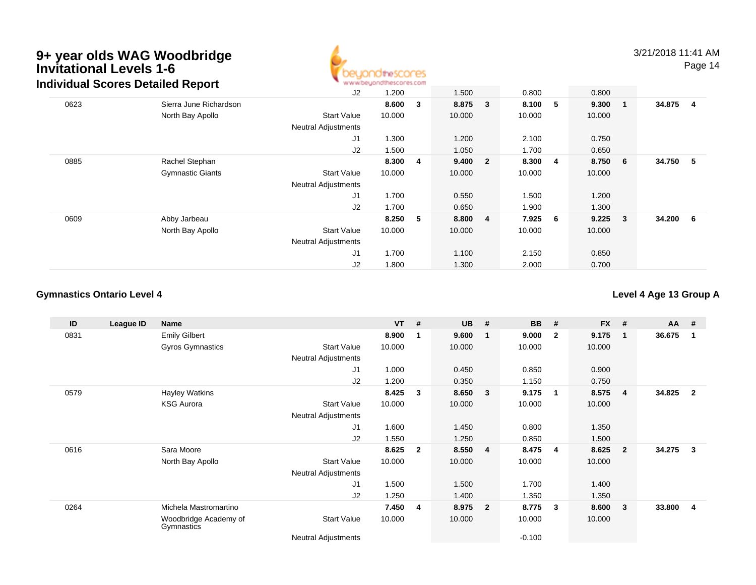

|      | Individual Scores Detailed Report | www.beyondthescores.com    |        |                |        |                |        |   |        |                         |          |  |
|------|-----------------------------------|----------------------------|--------|----------------|--------|----------------|--------|---|--------|-------------------------|----------|--|
|      |                                   | J <sub>2</sub>             | 1.200  |                | 1.500  |                | 0.800  |   | 0.800  |                         |          |  |
| 0623 | Sierra June Richardson            |                            | 8.600  | $_{3}$         | 8.875  | $\mathbf{3}$   | 8.100  | 5 | 9.300  | $\overline{\mathbf{1}}$ | 34.875 4 |  |
|      | North Bay Apollo                  | <b>Start Value</b>         | 10.000 |                | 10.000 |                | 10.000 |   | 10.000 |                         |          |  |
|      |                                   | <b>Neutral Adjustments</b> |        |                |        |                |        |   |        |                         |          |  |
|      |                                   | J1                         | 1.300  |                | 1.200  |                | 2.100  |   | 0.750  |                         |          |  |
|      |                                   | J <sub>2</sub>             | 1.500  |                | 1.050  |                | 1.700  |   | 0.650  |                         |          |  |
| 0885 | Rachel Stephan                    |                            | 8.300  | $\overline{4}$ | 9.400  | $\mathbf{2}$   | 8.300  | 4 | 8.750  | -6                      | 34.750 5 |  |
|      | <b>Gymnastic Giants</b>           | <b>Start Value</b>         | 10.000 |                | 10.000 |                | 10.000 |   | 10.000 |                         |          |  |
|      |                                   | <b>Neutral Adjustments</b> |        |                |        |                |        |   |        |                         |          |  |
|      |                                   | J <sub>1</sub>             | 1.700  |                | 0.550  |                | 1.500  |   | 1.200  |                         |          |  |
|      |                                   | J <sub>2</sub>             | 1.700  |                | 0.650  |                | 1.900  |   | 1.300  |                         |          |  |
| 0609 | Abby Jarbeau                      |                            | 8.250  | - 5            | 8.800  | $\overline{4}$ | 7.925  | 6 | 9.225  | $\overline{\mathbf{3}}$ | 34.200 6 |  |
|      | North Bay Apollo                  | <b>Start Value</b>         | 10.000 |                | 10.000 |                | 10.000 |   | 10.000 |                         |          |  |
|      |                                   | <b>Neutral Adjustments</b> |        |                |        |                |        |   |        |                         |          |  |
|      |                                   | J1                         | 1.700  |                | 1.100  |                | 2.150  |   | 0.850  |                         |          |  |
|      |                                   | J <sub>2</sub>             | 1.800  |                | 1.300  |                | 2.000  |   | 0.700  |                         |          |  |

### **Gymnastics Ontario Level 4**

**Level 4 Age 13 Group A**

| ID   | League ID | <b>Name</b>                         |                            | <b>VT</b> | #              | <b>UB</b> | #                       | <b>BB</b> | #            | <b>FX</b> | #              | AA     | #                       |
|------|-----------|-------------------------------------|----------------------------|-----------|----------------|-----------|-------------------------|-----------|--------------|-----------|----------------|--------|-------------------------|
| 0831 |           | <b>Emily Gilbert</b>                |                            | 8.900     | - 1            | 9.600     | $\mathbf 1$             | 9.000     | $\mathbf{2}$ | 9.175     | $\mathbf 1$    | 36.675 | -1                      |
|      |           | Gyros Gymnastics                    | <b>Start Value</b>         | 10.000    |                | 10.000    |                         | 10.000    |              | 10.000    |                |        |                         |
|      |           |                                     | <b>Neutral Adjustments</b> |           |                |           |                         |           |              |           |                |        |                         |
|      |           |                                     | J <sub>1</sub>             | 1.000     |                | 0.450     |                         | 0.850     |              | 0.900     |                |        |                         |
|      |           |                                     | J <sub>2</sub>             | 1.200     |                | 0.350     |                         | 1.150     |              | 0.750     |                |        |                         |
| 0579 |           | Hayley Watkins                      |                            | 8.425     | $\mathbf{3}$   | 8.650     | 3                       | 9.175     | $\mathbf 1$  | 8.575     | $\overline{4}$ | 34.825 | $\overline{2}$          |
|      |           | <b>KSG Aurora</b>                   | <b>Start Value</b>         | 10.000    |                | 10.000    |                         | 10.000    |              | 10.000    |                |        |                         |
|      |           |                                     | <b>Neutral Adjustments</b> |           |                |           |                         |           |              |           |                |        |                         |
|      |           |                                     | J <sub>1</sub>             | 1.600     |                | 1.450     |                         | 0.800     |              | 1.350     |                |        |                         |
|      |           |                                     | J <sub>2</sub>             | 1.550     |                | 1.250     |                         | 0.850     |              | 1.500     |                |        |                         |
| 0616 |           | Sara Moore                          |                            | 8.625     | $\overline{2}$ | 8.550     | $\overline{4}$          | 8.475     | 4            | 8.625     | $\overline{2}$ | 34.275 | 3                       |
|      |           | North Bay Apollo                    | <b>Start Value</b>         | 10.000    |                | 10.000    |                         | 10.000    |              | 10.000    |                |        |                         |
|      |           |                                     | <b>Neutral Adjustments</b> |           |                |           |                         |           |              |           |                |        |                         |
|      |           |                                     | J1                         | 1.500     |                | 1.500     |                         | 1.700     |              | 1.400     |                |        |                         |
|      |           |                                     | J2                         | 1.250     |                | 1.400     |                         | 1.350     |              | 1.350     |                |        |                         |
| 0264 |           | Michela Mastromartino               |                            | 7.450     | -4             | 8.975     | $\overline{\mathbf{2}}$ | 8.775     | 3            | 8.600     | $\mathbf{3}$   | 33.800 | $\overline{\mathbf{4}}$ |
|      |           | Woodbridge Academy of<br>Gymnastics | <b>Start Value</b>         | 10.000    |                | 10.000    |                         | 10.000    |              | 10.000    |                |        |                         |
|      |           |                                     | <b>Neutral Adjustments</b> |           |                |           |                         | $-0.100$  |              |           |                |        |                         |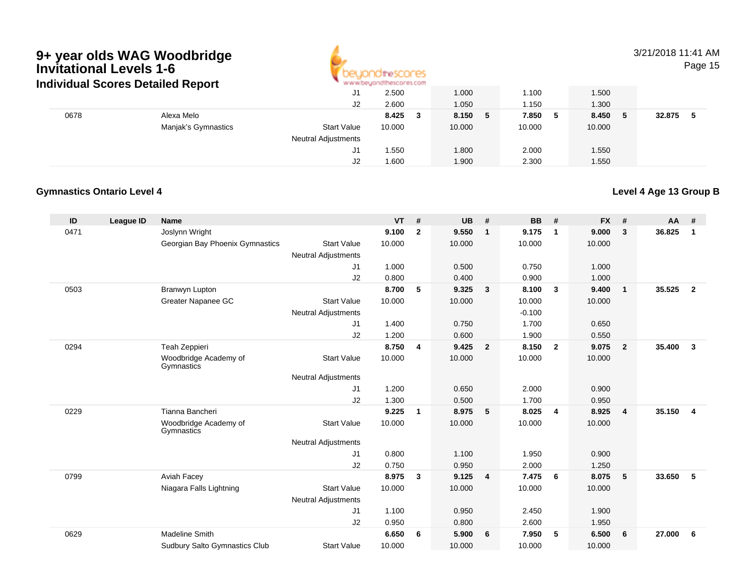

### 3/21/2018 11:41 AMPage 15

|      | individual Scores Detailed Report | . M.M.M.DE/TOLIOLIMACOL 62 COLL |        |             |         |             |        |
|------|-----------------------------------|---------------------------------|--------|-------------|---------|-------------|--------|
|      |                                   | J1                              | 2.500  | 1.000       | 1.100   | 1.500       |        |
|      |                                   | J2                              | 2.600  | 1.050       | 1.150   | 1.300       |        |
| 0678 | Alexa Melo                        |                                 | 8.425  | 8.150<br>-5 | 7.850 5 | 8.450<br>-5 | 32.875 |
|      | Manjak's Gymnastics               | <b>Start Value</b>              | 10.000 | 10.000      | 10.000  | 10.000      |        |
|      |                                   | <b>Neutral Adjustments</b>      |        |             |         |             |        |
|      |                                   | J1                              | .550   | 1.800       | 2.000   | 1.550       |        |
|      |                                   | J2                              | .600 ا | 1.900       | 2.300   | 1.550       |        |

### **Gymnastics Ontario Level 4**

### **Level 4 Age 13 Group B**

| ID   | <b>League ID</b> | <b>Name</b>                          |                            | <b>VT</b> | #              | <b>UB</b> | #                       | <b>BB</b> | #                       | <b>FX</b> | #              | AA     | #              |
|------|------------------|--------------------------------------|----------------------------|-----------|----------------|-----------|-------------------------|-----------|-------------------------|-----------|----------------|--------|----------------|
| 0471 |                  | Joslynn Wright                       |                            | 9.100     | $\overline{2}$ | 9.550     | $\mathbf{1}$            | 9.175     | $\overline{\mathbf{1}}$ | 9.000     | 3              | 36.825 | $\mathbf{1}$   |
|      |                  | Georgian Bay Phoenix Gymnastics      | <b>Start Value</b>         | 10.000    |                | 10.000    |                         | 10.000    |                         | 10.000    |                |        |                |
|      |                  |                                      | <b>Neutral Adjustments</b> |           |                |           |                         |           |                         |           |                |        |                |
|      |                  |                                      | J <sub>1</sub>             | 1.000     |                | 0.500     |                         | 0.750     |                         | 1.000     |                |        |                |
|      |                  |                                      | J2                         | 0.800     |                | 0.400     |                         | 0.900     |                         | 1.000     |                |        |                |
| 0503 |                  | Branwyn Lupton                       |                            | 8.700     | 5              | 9.325     | $\overline{\mathbf{3}}$ | 8.100     | $\mathbf{3}$            | 9.400     | $\overline{1}$ | 35.525 | $\overline{2}$ |
|      |                  | Greater Napanee GC                   | <b>Start Value</b>         | 10.000    |                | 10.000    |                         | 10.000    |                         | 10.000    |                |        |                |
|      |                  |                                      | <b>Neutral Adjustments</b> |           |                |           |                         | $-0.100$  |                         |           |                |        |                |
|      |                  |                                      | J <sub>1</sub>             | 1.400     |                | 0.750     |                         | 1.700     |                         | 0.650     |                |        |                |
|      |                  |                                      | J2                         | 1.200     |                | 0.600     |                         | 1.900     |                         | 0.550     |                |        |                |
| 0294 |                  | Teah Zeppieri                        |                            | 8.750     | 4              | 9.425     | $\overline{2}$          | 8.150     | $\overline{\mathbf{2}}$ | 9.075     | $\overline{2}$ | 35.400 | $\mathbf{3}$   |
|      |                  | Woodbridge Academy of<br>Gymnastics  | <b>Start Value</b>         | 10.000    |                | 10.000    |                         | 10.000    |                         | 10.000    |                |        |                |
|      |                  |                                      | <b>Neutral Adjustments</b> |           |                |           |                         |           |                         |           |                |        |                |
|      |                  |                                      | J <sub>1</sub>             | 1.200     |                | 0.650     |                         | 2.000     |                         | 0.900     |                |        |                |
|      |                  |                                      | J <sub>2</sub>             | 1.300     |                | 0.500     |                         | 1.700     |                         | 0.950     |                |        |                |
| 0229 |                  | Tianna Bancheri                      |                            | 9.225     | $\mathbf 1$    | 8.975     | $-5$                    | 8.025     | 4                       | 8.925     | $\overline{4}$ | 35.150 | $\overline{4}$ |
|      |                  | Woodbridge Academy of<br>Gymnastics  | <b>Start Value</b>         | 10.000    |                | 10.000    |                         | 10.000    |                         | 10.000    |                |        |                |
|      |                  |                                      | <b>Neutral Adjustments</b> |           |                |           |                         |           |                         |           |                |        |                |
|      |                  |                                      | J <sub>1</sub>             | 0.800     |                | 1.100     |                         | 1.950     |                         | 0.900     |                |        |                |
|      |                  |                                      | J2                         | 0.750     |                | 0.950     |                         | 2.000     |                         | 1.250     |                |        |                |
| 0799 |                  | Aviah Facey                          |                            | 8.975     | $\mathbf{3}$   | 9.125     | 4                       | 7.475     | 6                       | 8.075     | 5              | 33.650 | 5              |
|      |                  | Niagara Falls Lightning              | <b>Start Value</b>         | 10.000    |                | 10.000    |                         | 10.000    |                         | 10.000    |                |        |                |
|      |                  |                                      | <b>Neutral Adjustments</b> |           |                |           |                         |           |                         |           |                |        |                |
|      |                  |                                      | J <sub>1</sub>             | 1.100     |                | 0.950     |                         | 2.450     |                         | 1.900     |                |        |                |
|      |                  |                                      | J2                         | 0.950     |                | 0.800     |                         | 2.600     |                         | 1.950     |                |        |                |
| 0629 |                  | Madeline Smith                       |                            | 6.650     | 6              | 5.900     | 6                       | 7.950     | 5                       | 6.500     | 6              | 27.000 | 6              |
|      |                  | <b>Sudbury Salto Gymnastics Club</b> | <b>Start Value</b>         | 10.000    |                | 10.000    |                         | 10.000    |                         | 10.000    |                |        |                |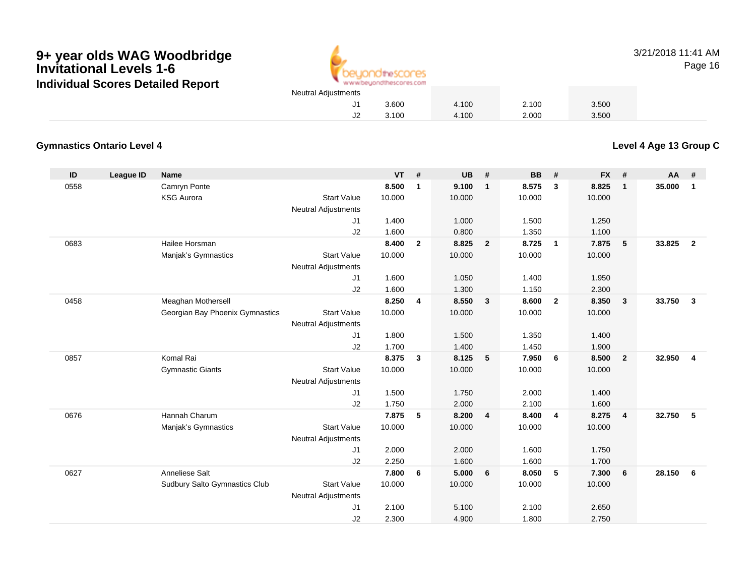

3/21/2018 11:41 AMPage 16

### 3.100 4.100 2.000 3.500

### **Gymnastics Ontario Level 4**

**Level 4 Age 13 Group C**

| $\mathsf{ID}$ | League ID | <b>Name</b>                     |                            | <b>VT</b> | #            | <b>UB</b> | #              | <b>BB</b> | #              | <b>FX</b> | #              | <b>AA</b> | #              |
|---------------|-----------|---------------------------------|----------------------------|-----------|--------------|-----------|----------------|-----------|----------------|-----------|----------------|-----------|----------------|
| 0558          |           | Camryn Ponte                    |                            | 8.500     | $\mathbf{1}$ | 9.100     | $\mathbf{1}$   | 8.575     | $\mathbf{3}$   | 8.825     | $\mathbf{1}$   | 35.000    | $\mathbf{1}$   |
|               |           | <b>KSG Aurora</b>               | <b>Start Value</b>         | 10.000    |              | 10.000    |                | 10.000    |                | 10.000    |                |           |                |
|               |           |                                 | <b>Neutral Adjustments</b> |           |              |           |                |           |                |           |                |           |                |
|               |           |                                 | J1                         | 1.400     |              | 1.000     |                | 1.500     |                | 1.250     |                |           |                |
|               |           |                                 | J2                         | 1.600     |              | 0.800     |                | 1.350     |                | 1.100     |                |           |                |
| 0683          |           | Hailee Horsman                  |                            | 8.400     | $\mathbf{2}$ | 8.825     | $\overline{2}$ | 8.725     | $\overline{1}$ | 7.875     | 5              | 33.825    | $\overline{2}$ |
|               |           | Manjak's Gymnastics             | <b>Start Value</b>         | 10.000    |              | 10.000    |                | 10.000    |                | 10.000    |                |           |                |
|               |           |                                 | <b>Neutral Adjustments</b> |           |              |           |                |           |                |           |                |           |                |
|               |           |                                 | J1                         | 1.600     |              | 1.050     |                | 1.400     |                | 1.950     |                |           |                |
|               |           |                                 | J2                         | 1.600     |              | 1.300     |                | 1.150     |                | 2.300     |                |           |                |
| 0458          |           | Meaghan Mothersell              |                            | 8.250     | 4            | 8.550     | $\mathbf{3}$   | 8.600     | $\overline{2}$ | 8.350     | $\mathbf{3}$   | 33.750    | $\mathbf{3}$   |
|               |           | Georgian Bay Phoenix Gymnastics | <b>Start Value</b>         | 10.000    |              | 10.000    |                | 10.000    |                | 10.000    |                |           |                |
|               |           |                                 | <b>Neutral Adjustments</b> |           |              |           |                |           |                |           |                |           |                |
|               |           |                                 | J1                         | 1.800     |              | 1.500     |                | 1.350     |                | 1.400     |                |           |                |
|               |           |                                 | J2                         | 1.700     |              | 1.400     |                | 1.450     |                | 1.900     |                |           |                |
| 0857          |           | Komal Rai                       |                            | 8.375     | $\mathbf{3}$ | 8.125     | 5              | 7.950     | 6              | 8.500     | $\overline{2}$ | 32.950    | $\overline{4}$ |
|               |           | <b>Gymnastic Giants</b>         | <b>Start Value</b>         | 10.000    |              | 10.000    |                | 10.000    |                | 10.000    |                |           |                |
|               |           |                                 | <b>Neutral Adjustments</b> |           |              |           |                |           |                |           |                |           |                |
|               |           |                                 | J1                         | 1.500     |              | 1.750     |                | 2.000     |                | 1.400     |                |           |                |
|               |           |                                 | J2                         | 1.750     |              | 2.000     |                | 2.100     |                | 1.600     |                |           |                |
| 0676          |           | Hannah Charum                   |                            | 7.875     | 5            | 8.200     | $\overline{4}$ | 8.400     | $\overline{4}$ | 8.275     | $\overline{4}$ | 32.750    | 5              |
|               |           | Manjak's Gymnastics             | <b>Start Value</b>         | 10.000    |              | 10.000    |                | 10.000    |                | 10.000    |                |           |                |
|               |           |                                 | <b>Neutral Adjustments</b> |           |              |           |                |           |                |           |                |           |                |
|               |           |                                 | J1                         | 2.000     |              | 2.000     |                | 1.600     |                | 1.750     |                |           |                |
|               |           |                                 | J2                         | 2.250     |              | 1.600     |                | 1.600     |                | 1.700     |                |           |                |
| 0627          |           | Anneliese Salt                  |                            | 7.800     | 6            | 5.000     | 6              | 8.050     | - 5            | 7.300     | 6              | 28.150    | 6              |
|               |           | Sudbury Salto Gymnastics Club   | <b>Start Value</b>         | 10.000    |              | 10.000    |                | 10.000    |                | 10.000    |                |           |                |
|               |           |                                 | <b>Neutral Adjustments</b> |           |              |           |                |           |                |           |                |           |                |
|               |           |                                 | J <sub>1</sub>             | 2.100     |              | 5.100     |                | 2.100     |                | 2.650     |                |           |                |
|               |           |                                 | J2                         | 2.300     |              | 4.900     |                | 1.800     |                | 2.750     |                |           |                |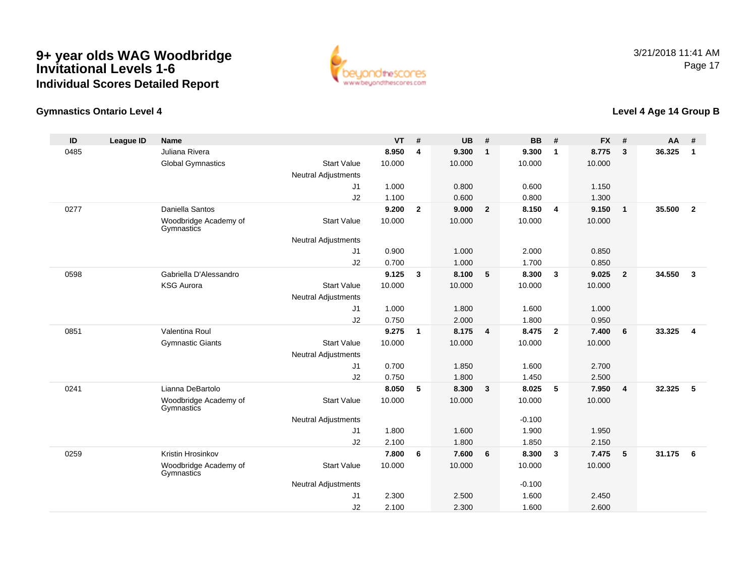

### **Gymnastics Ontario Level 4**

### **Level 4 Age 14 Group B**

| ID   | <b>League ID</b> | <b>Name</b>                         |                            | <b>VT</b> | #              | <b>UB</b> | #                       | <b>BB</b> | #              | <b>FX</b> | #              | <b>AA</b> | #              |
|------|------------------|-------------------------------------|----------------------------|-----------|----------------|-----------|-------------------------|-----------|----------------|-----------|----------------|-----------|----------------|
| 0485 |                  | Juliana Rivera                      |                            | 8.950     | 4              | 9.300     | $\overline{1}$          | 9.300     | $\mathbf{1}$   | 8.775     | 3              | 36.325    | $\mathbf{1}$   |
|      |                  | <b>Global Gymnastics</b>            | <b>Start Value</b>         | 10.000    |                | 10.000    |                         | 10.000    |                | 10.000    |                |           |                |
|      |                  |                                     | <b>Neutral Adjustments</b> |           |                |           |                         |           |                |           |                |           |                |
|      |                  |                                     | J <sub>1</sub>             | 1.000     |                | 0.800     |                         | 0.600     |                | 1.150     |                |           |                |
|      |                  |                                     | J2                         | 1.100     |                | 0.600     |                         | 0.800     |                | 1.300     |                |           |                |
| 0277 |                  | Daniella Santos                     |                            | 9.200     | $\overline{2}$ | 9.000     | $\overline{\mathbf{2}}$ | 8.150     | $\overline{4}$ | 9.150     | $\mathbf{1}$   | 35.500    | $\overline{2}$ |
|      |                  | Woodbridge Academy of<br>Gymnastics | <b>Start Value</b>         | 10.000    |                | 10.000    |                         | 10.000    |                | 10.000    |                |           |                |
|      |                  |                                     | Neutral Adjustments        |           |                |           |                         |           |                |           |                |           |                |
|      |                  |                                     | J1                         | 0.900     |                | 1.000     |                         | 2.000     |                | 0.850     |                |           |                |
|      |                  |                                     | J2                         | 0.700     |                | 1.000     |                         | 1.700     |                | 0.850     |                |           |                |
| 0598 |                  | Gabriella D'Alessandro              |                            | 9.125     | 3              | 8.100     | 5                       | 8.300     | $\mathbf{3}$   | 9.025     | $\overline{2}$ | 34.550    | $\mathbf{3}$   |
|      |                  | <b>KSG Aurora</b>                   | <b>Start Value</b>         | 10.000    |                | 10.000    |                         | 10.000    |                | 10.000    |                |           |                |
|      |                  |                                     | <b>Neutral Adjustments</b> |           |                |           |                         |           |                |           |                |           |                |
|      |                  |                                     | J1                         | 1.000     |                | 1.800     |                         | 1.600     |                | 1.000     |                |           |                |
|      |                  |                                     | J2                         | 0.750     |                | 2.000     |                         | 1.800     |                | 0.950     |                |           |                |
| 0851 |                  | Valentina Roul                      |                            | 9.275     | $\mathbf{1}$   | 8.175     | $\overline{4}$          | 8.475     | $\overline{2}$ | 7.400     | 6              | 33.325    | $\overline{4}$ |
|      |                  | <b>Gymnastic Giants</b>             | <b>Start Value</b>         | 10.000    |                | 10.000    |                         | 10.000    |                | 10.000    |                |           |                |
|      |                  |                                     | <b>Neutral Adjustments</b> |           |                |           |                         |           |                |           |                |           |                |
|      |                  |                                     | J1                         | 0.700     |                | 1.850     |                         | 1.600     |                | 2.700     |                |           |                |
|      |                  |                                     | J2                         | 0.750     |                | 1.800     |                         | 1.450     |                | 2.500     |                |           |                |
| 0241 |                  | Lianna DeBartolo                    |                            | 8.050     | 5              | 8.300     | $\overline{\mathbf{3}}$ | 8.025     | 5              | 7.950     | 4              | 32.325    | 5              |
|      |                  | Woodbridge Academy of<br>Gymnastics | <b>Start Value</b>         | 10.000    |                | 10.000    |                         | 10.000    |                | 10.000    |                |           |                |
|      |                  |                                     | <b>Neutral Adjustments</b> |           |                |           |                         | $-0.100$  |                |           |                |           |                |
|      |                  |                                     | J1                         | 1.800     |                | 1.600     |                         | 1.900     |                | 1.950     |                |           |                |
|      |                  |                                     | J2                         | 2.100     |                | 1.800     |                         | 1.850     |                | 2.150     |                |           |                |
| 0259 |                  | Kristin Hrosinkov                   |                            | 7.800     | 6              | 7.600     | 6                       | 8.300     | $\mathbf{3}$   | 7.475     | 5              | 31.175    | 6              |
|      |                  | Woodbridge Academy of<br>Gymnastics | <b>Start Value</b>         | 10.000    |                | 10.000    |                         | 10.000    |                | 10.000    |                |           |                |
|      |                  |                                     | <b>Neutral Adjustments</b> |           |                |           |                         | $-0.100$  |                |           |                |           |                |
|      |                  |                                     | J <sub>1</sub>             | 2.300     |                | 2.500     |                         | 1.600     |                | 2.450     |                |           |                |
|      |                  |                                     | J2                         | 2.100     |                | 2.300     |                         | 1.600     |                | 2.600     |                |           |                |